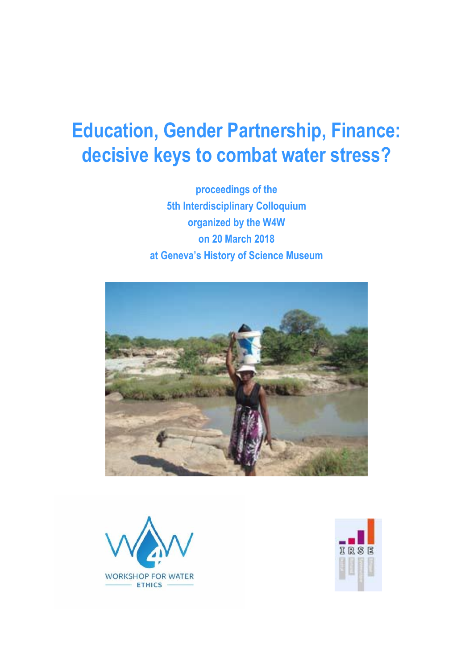# **Education, Gender Partnership, Finance: decisive keys to combat water stress?**

**proceedings of the 5th Interdisciplinary Colloquium organized by the W4W on 20 March 2018 at Geneva's History of Science Museum**





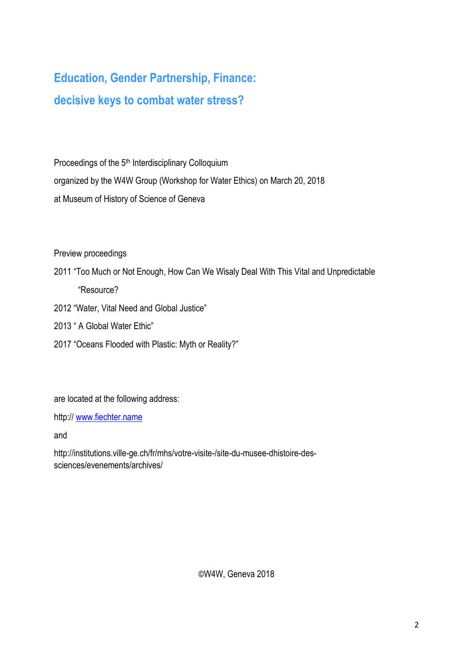# **Education, Gender Partnership, Finance: decisive keys to combat water stress?**

Proceedings of the 5<sup>th</sup> Interdisciplinary Colloquium organized by the W4W Group (Workshop for Water Ethics) on March 20, 2018 at Museum of History of Science of Geneva

Preview proceedings

- 2011 "Too Much or Not Enough, How Can We Wisaly Deal With This Vital and Unpredictable "Resource?
- 2012 "Water, Vital Need and Global Justice"
- 2013 " A Global Water Ethic"
- 2017 "Oceans Flooded with Plastic: Myth or Reality?"

are located at the following address:

http:// [www.fiechter.name](http://www.fiechter.name/)

and

http://institutions.ville-ge.ch/fr/mhs/votre-visite-/site-du-musee-dhistoire-dessciences/evenements/archives/

©W4W, Geneva 2018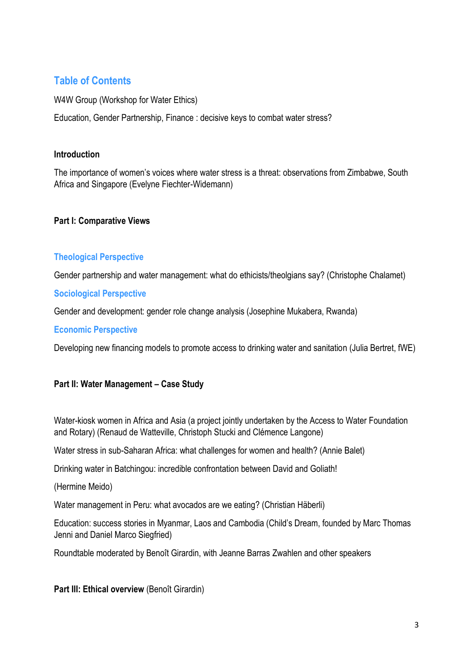## **Table of Contents**

W4W Group (Workshop for Water Ethics)

Education, Gender Partnership, Finance : decisive keys to combat water stress?

#### **Introduction**

The importance of women's voices where water stress is a threat: observations from Zimbabwe, South Africa and Singapore (Evelyne Fiechter-Widemann)

#### **Part I: Comparative Views**

### **Theological Perspective**

Gender partnership and water management: what do ethicists/theolgians say? (Christophe Chalamet)

#### **Sociological Perspective**

Gender and development: gender role change analysis (Josephine Mukabera, Rwanda)

#### **Economic Perspective**

Developing new financing models to promote access to drinking water and sanitation (Julia Bertret, fWE)

### **Part II: Water Management – Case Study**

Water-kiosk women in Africa and Asia (a project jointly undertaken by the Access to Water Foundation and Rotary) (Renaud de Watteville, Christoph Stucki and Clémence Langone)

Water stress in sub-Saharan Africa: what challenges for women and health? (Annie Balet)

Drinking water in Batchingou: incredible confrontation between David and Goliath!

(Hermine Meido)

Water management in Peru: what avocados are we eating? (Christian Häberli)

Education: success stories in Myanmar, Laos and Cambodia (Child's Dream, founded by Marc Thomas Jenni and Daniel Marco Siegfried)

Roundtable moderated by Benoît Girardin, with Jeanne Barras Zwahlen and other speakers

**Part III: Ethical overview** (Benoît Girardin)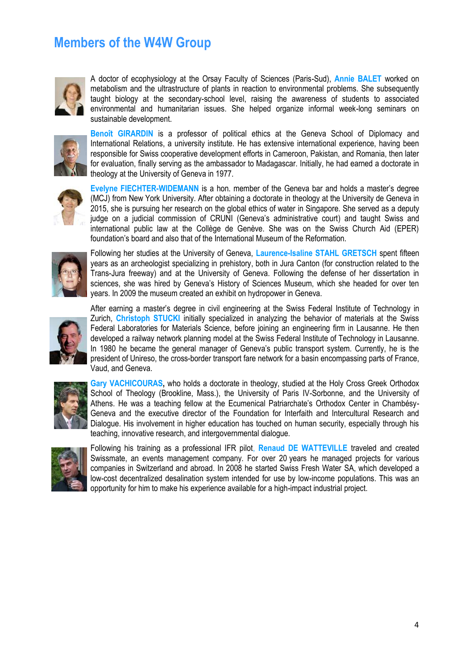# **Members of the W4W Group**



A doctor of ecophysiology at the Orsay Faculty of Sciences (Paris-Sud), **Annie BALET** worked on metabolism and the ultrastructure of plants in reaction to environmental problems. She subsequently taught biology at the secondary-school level, raising the awareness of students to associated environmental and humanitarian issues. She helped organize informal week-long seminars on sustainable development.



**Benoît GIRARDIN** is a professor of political ethics at the Geneva School of Diplomacy and International Relations, a university institute. He has extensive international experience, having been responsible for Swiss cooperative development efforts in Cameroon, Pakistan, and Romania, then later for evaluation, finally serving as the ambassador to Madagascar. Initially, he had earned a doctorate in theology at the University of Geneva in 1977.



**Evelyne FIECHTER-WIDEMANN** is a hon. member of the Geneva bar and holds a master's degree (MCJ) from New York University. After obtaining a doctorate in theology at the University de Geneva in 2015, she is pursuing her research on the global ethics of water in Singapore. She served as a deputy judge on a judicial commission of CRUNI (Geneva's administrative court) and taught Swiss and international public law at the Collège de Genève. She was on the Swiss Church Aid (EPER) foundation's board and also that of the International Museum of the Reformation.



Following her studies at the University of Geneva, **Laurence-Isaline STAHL GRETSCH** spent fifteen years as an archeologist specializing in prehistory, both in Jura Canton (for construction related to the Trans-Jura freeway) and at the University of Geneva. Following the defense of her dissertation in sciences, she was hired by Geneva's History of Sciences Museum, which she headed for over ten years. In 2009 the museum created an exhibit on hydropower in Geneva.



After earning a master's degree in civil engineering at the Swiss Federal Institute of Technology in Zurich, **Christoph STUCKI** initially specialized in analyzing the behavior of materials at the Swiss Federal Laboratories for Materials Science, before joining an engineering firm in Lausanne. He then developed a railway network planning model at the Swiss Federal Institute of Technology in Lausanne. In 1980 he became the general manager of Geneva's public transport system. Currently, he is the president of Unireso, the cross-border transport fare network for a basin encompassing parts of France, Vaud, and Geneva.



**Gary VACHICOURAS,** who holds a doctorate in theology, studied at the Holy Cross Greek Orthodox School of Theology (Brookline, Mass.), the University of Paris IV-Sorbonne, and the University of Athens. He was a teaching fellow at the Ecumenical Patriarchate's Orthodox Center in Chambésy-Geneva and the executive director of the Foundation for Interfaith and Intercultural Research and Dialogue. His involvement in higher education has touched on human security, especially through his teaching, innovative research, and intergovernmental dialogue.



Following his training as a professional IFR pilot, **Renaud DE WATTEVILLE** traveled and created Swissmate, an events management company. For over 20 years he managed projects for various companies in Switzerland and abroad. In 2008 he started Swiss Fresh Water SA, which developed a low-cost decentralized desalination system intended for use by low-income populations. This was an opportunity for him to make his experience available for a high-impact industrial project.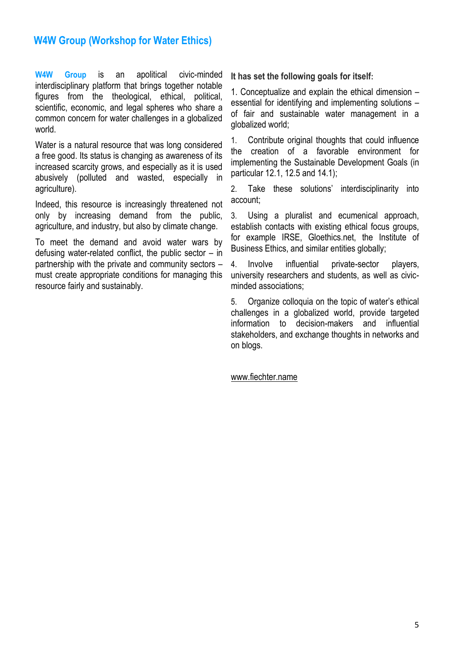## **W4W Group (Workshop for Water Ethics)**

**W4W Group** is an apolitical civic-minded interdisciplinary platform that brings together notable figures from the theological, ethical, political, scientific, economic, and legal spheres who share a common concern for water challenges in a globalized world.

Water is a natural resource that was long considered a free good. Its status is changing as awareness of its increased scarcity grows, and especially as it is used abusively (polluted and wasted, especially in agriculture).

Indeed, this resource is increasingly threatened not only by increasing demand from the public, agriculture, and industry, but also by climate change.

To meet the demand and avoid water wars by defusing water-related conflict, the public sector – in partnership with the private and community sectors – must create appropriate conditions for managing this resource fairly and sustainably.

**It has set the following goals for itself:**

1. Conceptualize and explain the ethical dimension – essential for identifying and implementing solutions – of fair and sustainable water management in a globalized world;

1. Contribute original thoughts that could influence the creation of a favorable environment for implementing the Sustainable Development Goals (in particular 12.1, 12.5 and 14.1);

2. Take these solutions' interdisciplinarity into account;

3. Using a pluralist and ecumenical approach, establish contacts with existing ethical focus groups, for example IRSE, Gloethics.net, the Institute of Business Ethics, and similar entities globally;

4. Involve influential private-sector players, university researchers and students, as well as civicminded associations;

5. Organize colloquia on the topic of water's ethical challenges in a globalized world, provide targeted information to decision-makers and influential stakeholders, and exchange thoughts in networks and on blogs.

www.fiechter.name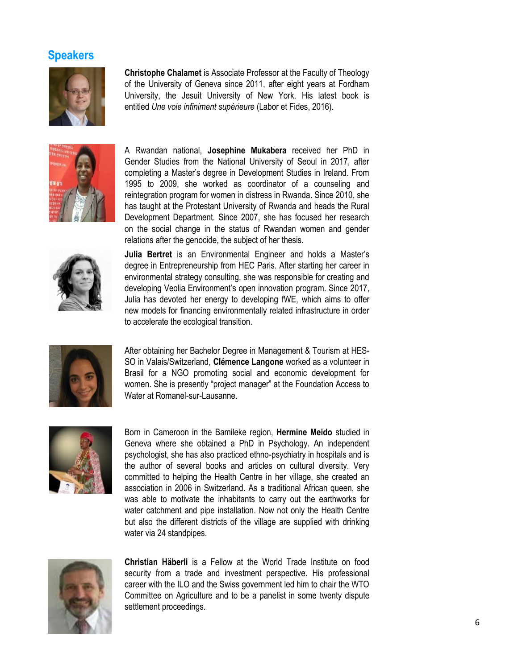## **Speakers**



**Christophe Chalamet** is Associate Professor at the Faculty of Theology of the University of Geneva since 2011, after eight years at Fordham University, the Jesuit University of New York. His latest book is entitled *Une voie infiniment supérieure* (Labor et Fides, 2016).



A Rwandan national, **Josephine Mukabera** received her PhD in Gender Studies from the National University of Seoul in 2017, after completing a Master's degree in Development Studies in Ireland. From 1995 to 2009, she worked as coordinator of a counseling and reintegration program for women in distress in Rwanda. Since 2010, she has taught at the Protestant University of Rwanda and heads the Rural Development Department. Since 2007, she has focused her research on the social change in the status of Rwandan women and gender relations after the genocide, the subject of her thesis.



**Julia Bertret** is an Environmental Engineer and holds a Master's degree in Entrepreneurship from HEC Paris. After starting her career in environmental strategy consulting, she was responsible for creating and developing Veolia Environment's open innovation program. Since 2017, Julia has devoted her energy to developing fWE, which aims to offer new models for financing environmentally related infrastructure in order to accelerate the ecological transition.



After obtaining her Bachelor Degree in Management & Tourism at HES-SO in Valais/Switzerland, **Clémence Langone** worked as a volunteer in Brasil for a NGO promoting social and economic development for women. She is presently "project manager" at the Foundation Access to Water at Romanel-sur-Lausanne.



Born in Cameroon in the Bamileke region, **Hermine Meido** studied in Geneva where she obtained a PhD in Psychology. An independent psychologist, she has also practiced ethno-psychiatry in hospitals and is the author of several books and articles on cultural diversity. Very committed to helping the Health Centre in her village, she created an association in 2006 in Switzerland. As a traditional African queen, she was able to motivate the inhabitants to carry out the earthworks for water catchment and pipe installation. Now not only the Health Centre but also the different districts of the village are supplied with drinking water via 24 standpipes.



**Christian Häberli** is a Fellow at the World Trade Institute on food security from a trade and investment perspective. His professional career with the ILO and the Swiss government led him to chair the WTO Committee on Agriculture and to be a panelist in some twenty dispute settlement proceedings.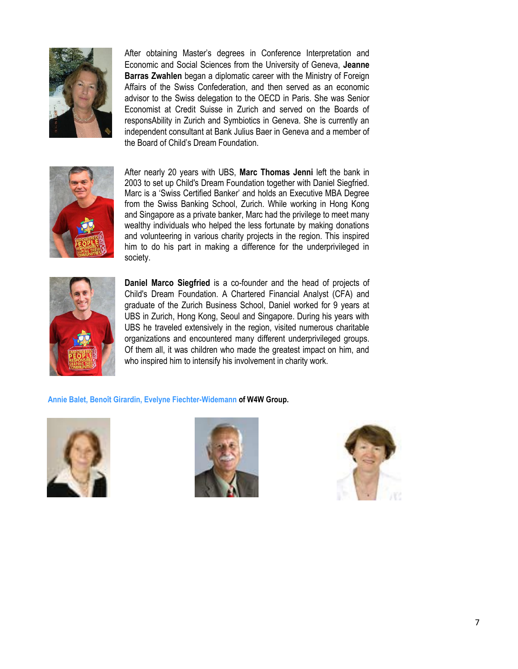

After obtaining Master's degrees in Conference Interpretation and Economic and Social Sciences from the University of Geneva, **Jeanne Barras Zwahlen** began a diplomatic career with the Ministry of Foreign Affairs of the Swiss Confederation, and then served as an economic advisor to the Swiss delegation to the OECD in Paris. She was Senior Economist at Credit Suisse in Zurich and served on the Boards of responsAbility in Zurich and Symbiotics in Geneva. She is currently an independent consultant at Bank Julius Baer in Geneva and a member of the Board of Child's Dream Foundation.



After nearly 20 years with UBS, **Marc Thomas Jenni** left the bank in 2003 to set up Child's Dream Foundation together with Daniel Siegfried. Marc is a 'Swiss Certified Banker' and holds an Executive MBA Degree from the Swiss Banking School, Zurich. While working in Hong Kong and Singapore as a private banker, Marc had the privilege to meet many wealthy individuals who helped the less fortunate by making donations and volunteering in various charity projects in the region. This inspired him to do his part in making a difference for the underprivileged in society.



**Daniel Marco Siegfried** is a co-founder and the head of projects of Child's Dream Foundation. A Chartered Financial Analyst (CFA) and graduate of the Zurich Business School, Daniel worked for 9 years at UBS in Zurich, Hong Kong, Seoul and Singapore. During his years with UBS he traveled extensively in the region, visited numerous charitable organizations and encountered many different underprivileged groups. Of them all, it was children who made the greatest impact on him, and who inspired him to intensify his involvement in charity work.

**Annie Balet, Benoît Girardin, Evelyne Fiechter-Widemann of W4W Group.**





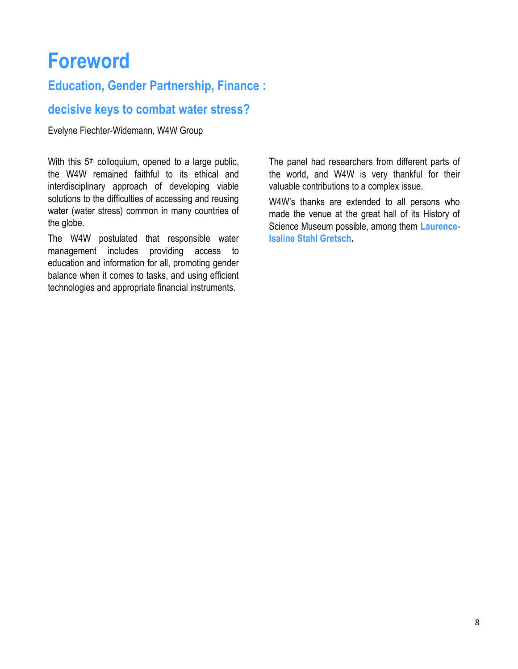# **Foreword**

## **Education, Gender Partnership, Finance :**

## **decisive keys to combat water stress?**

Evelyne Fiechter-Widemann, W4W Group

With this  $5<sup>th</sup>$  colloquium, opened to a large public, the W4W remained faithful to its ethical and interdisciplinary approach of developing viable solutions to the difficulties of accessing and reusing water (water stress) common in many countries of the globe.

The W4W postulated that responsible water management includes providing access to education and information for all, promoting gender balance when it comes to tasks, and using efficient technologies and appropriate financial instruments.

The panel had researchers from different parts of the world, and W4W is very thankful for their valuable contributions to a complex issue.

W4W's thanks are extended to all persons who made the venue at the great hall of its History of Science Museum possible, among them **Laurence-Isaline Stahl Gretsch.**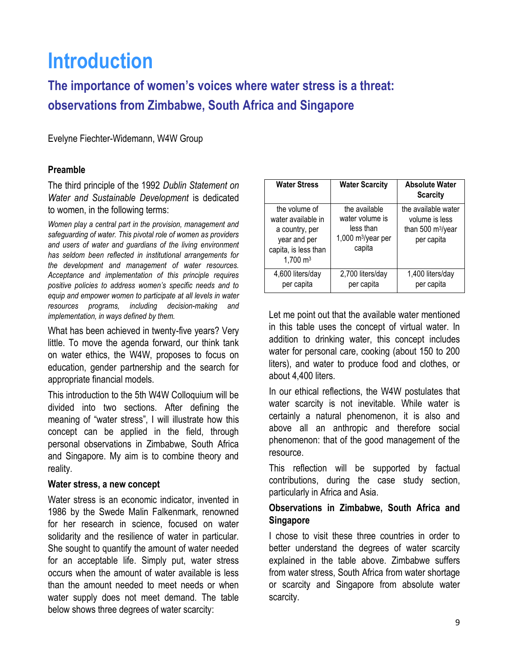# **Introduction**

**The importance of women's voices where water stress is a threat: observations from Zimbabwe, South Africa and Singapore**

Evelyne Fiechter-Widemann, W4W Group

#### **Preamble**

The third principle of the 1992 *Dublin Statement on Water and Sustainable Development* is dedicated to women, in the following terms:

*Women play a central part in the provision, management and safeguarding of water. This pivotal role of women as providers and users of water and guardians of the living environment has seldom been reflected in institutional arrangements for the development and management of water resources. Acceptance and implementation of this principle requires positive policies to address women's specific needs and to equip and empower women to participate at all levels in water resources programs, including decision-making and implementation, in ways defined by them.*

What has been achieved in twenty-five years? Very little. To move the agenda forward, our think tank on water ethics, the W4W, proposes to focus on education, gender partnership and the search for appropriate financial models.

This introduction to the 5th W4W Colloquium will be divided into two sections. After defining the meaning of "water stress", I will illustrate how this concept can be applied in the field, through personal observations in Zimbabwe, South Africa and Singapore. My aim is to combine theory and reality.

#### **Water stress, a new concept**

Water stress is an economic indicator, invented in 1986 by the Swede Malin Falkenmark, renowned for her research in science, focused on water solidarity and the resilience of water in particular. She sought to quantify the amount of water needed for an acceptable life. Simply put, water stress occurs when the amount of water available is less than the amount needed to meet needs or when water supply does not meet demand. The table below shows three degrees of water scarcity:

| <b>Water Stress</b>                                                                                                  | <b>Water Scarcity</b>                                                            | <b>Absolute Water</b><br><b>Scarcity</b>                                             |
|----------------------------------------------------------------------------------------------------------------------|----------------------------------------------------------------------------------|--------------------------------------------------------------------------------------|
| the volume of<br>water available in<br>a country, per<br>year and per<br>capita, is less than<br>$1,700 \text{ m}^3$ | the available<br>water volume is<br>less than<br>1,000 $m^3$ /year per<br>capita | the available water<br>volume is less<br>than 500 m <sup>3</sup> /year<br>per capita |
| 4,600 liters/day<br>per capita                                                                                       | 2,700 liters/day<br>per capita                                                   | 1,400 liters/day<br>per capita                                                       |

Let me point out that the available water mentioned in this table uses the concept of virtual water. In addition to drinking water, this concept includes water for personal care, cooking (about 150 to 200 liters), and water to produce food and clothes, or about 4,400 liters.

In our ethical reflections, the W4W postulates that water scarcity is not inevitable. While water is certainly a natural phenomenon, it is also and above all an anthropic and therefore social phenomenon: that of the good management of the resource.

This reflection will be supported by factual contributions, during the case study section, particularly in Africa and Asia.

### **Observations in Zimbabwe, South Africa and Singapore**

I chose to visit these three countries in order to better understand the degrees of water scarcity explained in the table above. Zimbabwe suffers from water stress, South Africa from water shortage or scarcity and Singapore from absolute water scarcity.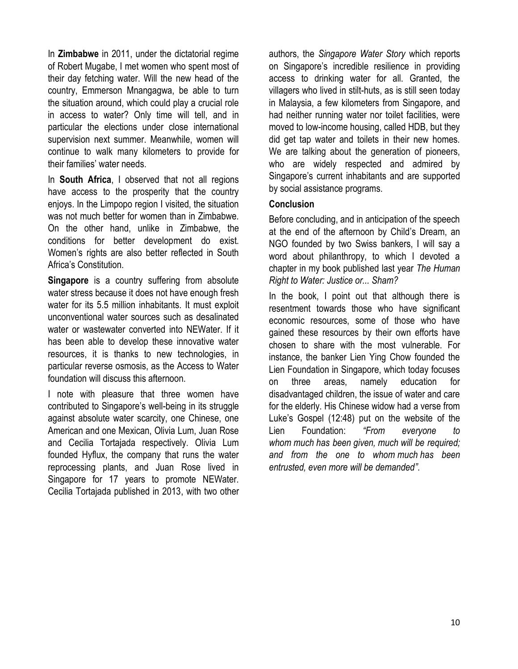In **Zimbabwe** in 2011, under the dictatorial regime of Robert Mugabe, I met women who spent most of their day fetching water. Will the new head of the country, Emmerson Mnangagwa, be able to turn the situation around, which could play a crucial role in access to water? Only time will tell, and in particular the elections under close international supervision next summer. Meanwhile, women will continue to walk many kilometers to provide for their families' water needs.

In **South Africa**, I observed that not all regions have access to the prosperity that the country enjoys. In the Limpopo region I visited, the situation was not much better for women than in Zimbabwe. On the other hand, unlike in Zimbabwe, the conditions for better development do exist. Women's rights are also better reflected in South Africa's Constitution.

**Singapore** is a country suffering from absolute water stress because it does not have enough fresh water for its 5.5 million inhabitants. It must exploit unconventional water sources such as desalinated water or wastewater converted into NEWater. If it has been able to develop these innovative water resources, it is thanks to new technologies, in particular reverse osmosis, as the Access to Water foundation will discuss this afternoon.

I note with pleasure that three women have contributed to Singapore's well-being in its struggle against absolute water scarcity, one Chinese, one American and one Mexican, Olivia Lum, Juan Rose and Cecilia Tortajada respectively. Olivia Lum founded Hyflux, the company that runs the water reprocessing plants, and Juan Rose lived in Singapore for 17 years to promote NEWater. Cecilia Tortajada published in 2013, with two other

authors, the *Singapore Water Story* which reports on Singapore's incredible resilience in providing access to drinking water for all. Granted, the villagers who lived in stilt-huts, as is still seen today in Malaysia, a few kilometers from Singapore, and had neither running water nor toilet facilities, were moved to low-income housing, called HDB, but they did get tap water and toilets in their new homes. We are talking about the generation of pioneers, who are widely respected and admired by Singapore's current inhabitants and are supported by social assistance programs.

#### **Conclusion**

Before concluding, and in anticipation of the speech at the end of the afternoon by Child's Dream, an NGO founded by two Swiss bankers, I will say a word about philanthropy, to which I devoted a chapter in my book published last year *The Human Right to Water: Justice or... Sham?*

In the book, I point out that although there is resentment towards those who have significant economic resources, some of those who have gained these resources by their own efforts have chosen to share with the most vulnerable. For instance, the banker Lien Ying Chow founded the Lien Foundation in Singapore, which today focuses on three areas, namely education for disadvantaged children, the issue of water and care for the elderly. His Chinese widow had a verse from Luke's Gospel (12:48) put on the website of the Lien Foundation: *"From everyone to whom much has been given, much will be required; and from the one to whom much has been entrusted, even more will be demanded"*.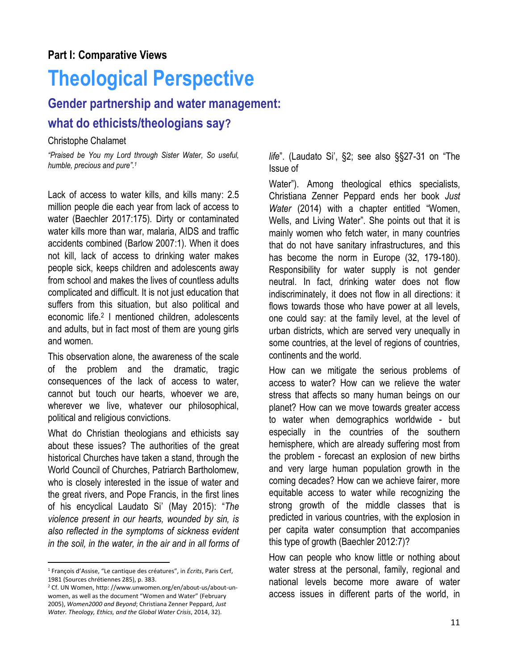# **Theological Perspective**

# **Gender partnership and water management: what do ethicists/theologians say?**

#### Christophe Chalamet

*"Praised be You my Lord through Sister Water, So useful, humble, precious and pure". 1*

Lack of access to water kills, and kills many: 2.5 million people die each year from lack of access to water (Baechler 2017:175). Dirty or contaminated water kills more than war, malaria, AIDS and traffic accidents combined (Barlow 2007:1). When it does not kill, lack of access to drinking water makes people sick, keeps children and adolescents away from school and makes the lives of countless adults complicated and difficult. It is not just education that suffers from this situation, but also political and economic life. 2 I mentioned children, adolescents and adults, but in fact most of them are young girls and women.

This observation alone, the awareness of the scale of the problem and the dramatic, tragic consequences of the lack of access to water, cannot but touch our hearts, whoever we are, wherever we live, whatever our philosophical, political and religious convictions.

What do Christian theologians and ethicists say about these issues? The authorities of the great historical Churches have taken a stand, through the World Council of Churches, Patriarch Bartholomew, who is closely interested in the issue of water and the great rivers, and Pope Francis, in the first lines of his encyclical Laudato Si' (May 2015): "*The violence present in our hearts, wounded by sin, is also reflected in the symptoms of sickness evident in the soil, in the water, in the air and in all forms of*  *life*". (Laudato Si', §2; see also §§27-31 on "The Issue of

Water"). Among theological ethics specialists, Christiana Zenner Peppard ends her book *Just Water* (2014) with a chapter entitled "Women, Wells, and Living Water". She points out that it is mainly women who fetch water, in many countries that do not have sanitary infrastructures, and this has become the norm in Europe (32, 179-180). Responsibility for water supply is not gender neutral. In fact, drinking water does not flow indiscriminately, it does not flow in all directions: it flows towards those who have power at all levels, one could say: at the family level, at the level of urban districts, which are served very unequally in some countries, at the level of regions of countries, continents and the world.

How can we mitigate the serious problems of access to water? How can we relieve the water stress that affects so many human beings on our planet? How can we move towards greater access to water when demographics worldwide - but especially in the countries of the southern hemisphere, which are already suffering most from the problem - forecast an explosion of new births and very large human population growth in the coming decades? How can we achieve fairer, more equitable access to water while recognizing the strong growth of the middle classes that is predicted in various countries, with the explosion in per capita water consumption that accompanies this type of growth (Baechler 2012:7)?

How can people who know little or nothing about water stress at the personal, family, regional and national levels become more aware of water access issues in different parts of the world, in

l <sup>1</sup> François d'Assise, "Le cantique des créatures", in *Écrits*, Paris Cerf, 1981 (Sources chrétiennes 285), p. 383.

<sup>2</sup> Cf. UN Women[, http: //www.unwomen.org/en/about-us/about-un](http://www.unwomen.org/en/about-us/about-un-women)[women](http://www.unwomen.org/en/about-us/about-un-women), as well as the document "Women and Water" (February 2005), *Women2000 and Beyond*; Christiana Zenner Peppard, *Just Water. Theology, Ethics, and the Global Water Crisis*, 2014, 32).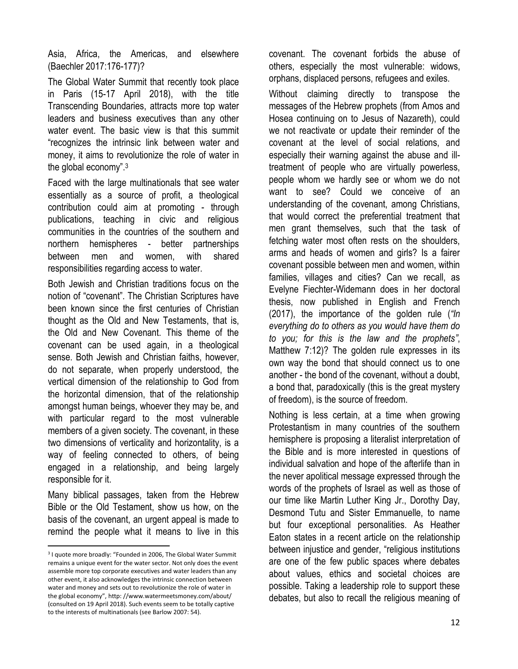Asia, Africa, the Americas, and elsewhere (Baechler 2017:176-177)?

The Global Water Summit that recently took place in Paris (15-17 April 2018), with the title Transcending Boundaries, attracts more top water leaders and business executives than any other water event. The basic view is that this summit "recognizes the intrinsic link between water and money, it aims to revolutionize the role of water in the global economy".<sup>3</sup>

Faced with the large multinationals that see water essentially as a source of profit, a theological contribution could aim at promoting - through publications, teaching in civic and religious communities in the countries of the southern and northern hemispheres - better partnerships between men and women, with shared responsibilities regarding access to water.

Both Jewish and Christian traditions focus on the notion of "covenant". The Christian Scriptures have been known since the first centuries of Christian thought as the Old and New Testaments, that is, the Old and New Covenant. This theme of the covenant can be used again, in a theological sense. Both Jewish and Christian faiths, however, do not separate, when properly understood, the vertical dimension of the relationship to God from the horizontal dimension, that of the relationship amongst human beings, whoever they may be, and with particular regard to the most vulnerable members of a given society. The covenant, in these two dimensions of verticality and horizontality, is a way of feeling connected to others, of being engaged in a relationship, and being largely responsible for it.

Many biblical passages, taken from the Hebrew Bible or the Old Testament, show us how, on the basis of the covenant, an urgent appeal is made to remind the people what it means to live in this

 $\overline{a}$ 

covenant. The covenant forbids the abuse of others, especially the most vulnerable: widows, orphans, displaced persons, refugees and exiles.

Without claiming directly to transpose the messages of the Hebrew prophets (from Amos and Hosea continuing on to Jesus of Nazareth), could we not reactivate or update their reminder of the covenant at the level of social relations, and especially their warning against the abuse and illtreatment of people who are virtually powerless, people whom we hardly see or whom we do not want to see? Could we conceive of an understanding of the covenant, among Christians, that would correct the preferential treatment that men grant themselves, such that the task of fetching water most often rests on the shoulders, arms and heads of women and girls? Is a fairer covenant possible between men and women, within families, villages and cities? Can we recall, as Evelyne Fiechter-Widemann does in her doctoral thesis, now published in English and French (2017), the importance of the golden rule (*"In everything do to others as you would have them do to you; for this is the law and the prophets"*, Matthew 7:12)? The golden rule expresses in its own way the bond that should connect us to one another - the bond of the covenant, without a doubt, a bond that, paradoxically (this is the great mystery of freedom), is the source of freedom.

Nothing is less certain, at a time when growing Protestantism in many countries of the southern hemisphere is proposing a literalist interpretation of the Bible and is more interested in questions of individual salvation and hope of the afterlife than in the never apolitical message expressed through the words of the prophets of Israel as well as those of our time like Martin Luther King Jr., Dorothy Day, Desmond Tutu and Sister Emmanuelle, to name but four exceptional personalities. As Heather Eaton states in a recent article on the relationship between injustice and gender, "religious institutions are one of the few public spaces where debates about values, ethics and societal choices are possible. Taking a leadership role to support these debates, but also to recall the religious meaning of

<sup>3</sup> I quote more broadly: "Founded in 2006, The Global Water Summit remains a unique event for the water sector. Not only does the event assemble more top corporate executives and water leaders than any other event, it also acknowledges the intrinsic connection between water and money and sets out to revolutionize the role of water in the global economy", [http: //www.watermeetsmoney.com/about/](http://www.watermeetsmoney.com/about/) (consulted on 19 April 2018). Such events seem to be totally captive to the interests of multinationals (see Barlow 2007: 54).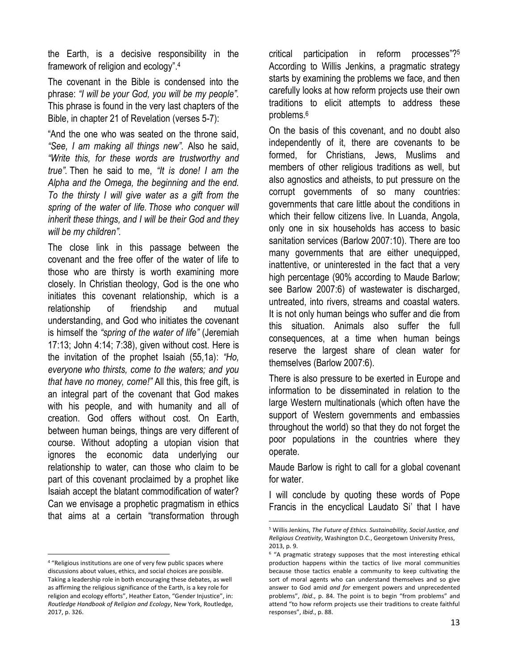the Earth, is a decisive responsibility in the framework of religion and ecology". 4

The covenant in the Bible is condensed into the phrase: *"I will be your God, you will be my people".*  This phrase is found in the very last chapters of the Bible, in chapter 21 of Revelation (verses 5-7):

"And the one who was seated on the throne said, *"See, I am making all things new".* Also he said, *"Write this, for these words are trustworthy and true".* Then he said to me, *"It is done! I am the Alpha and the Omega, the beginning and the end. To the thirsty I will give water as a gift from the spring of the water of life. Those who conquer will inherit these things, and I will be their God and they will be my children".*

The close link in this passage between the covenant and the free offer of the water of life to those who are thirsty is worth examining more closely. In Christian theology, God is the one who initiates this covenant relationship, which is a relationship of friendship and mutual understanding, and God who initiates the covenant is himself the *"spring of the water of life"* (Jeremiah 17:13; John 4:14; 7:38), given without cost. Here is the invitation of the prophet Isaiah (55,1a): *"Ho, everyone who thirsts, come to the waters; and you that have no money, come!"* All this, this free gift, is an integral part of the covenant that God makes with his people, and with humanity and all of creation. God offers without cost. On Earth, between human beings, things are very different of course. Without adopting a utopian vision that ignores the economic data underlying our relationship to water, can those who claim to be part of this covenant proclaimed by a prophet like Isaiah accept the blatant commodification of water? Can we envisage a prophetic pragmatism in ethics that aims at a certain "transformation through

 $\overline{a}$ 

critical participation in reform processes"? 5 According to Willis Jenkins, a pragmatic strategy starts by examining the problems we face, and then carefully looks at how reform projects use their own traditions to elicit attempts to address these problems. 6

On the basis of this covenant, and no doubt also independently of it, there are covenants to be formed, for Christians, Jews, Muslims and members of other religious traditions as well, but also agnostics and atheists, to put pressure on the corrupt governments of so many countries: governments that care little about the conditions in which their fellow citizens live. In Luanda, Angola, only one in six households has access to basic sanitation services (Barlow 2007:10). There are too many governments that are either unequipped, inattentive, or uninterested in the fact that a very high percentage (90% according to Maude Barlow; see Barlow 2007:6) of wastewater is discharged, untreated, into rivers, streams and coastal waters. It is not only human beings who suffer and die from this situation. Animals also suffer the full consequences, at a time when human beings reserve the largest share of clean water for themselves (Barlow 2007:6).

There is also pressure to be exerted in Europe and information to be disseminated in relation to the large Western multinationals (which often have the support of Western governments and embassies throughout the world) so that they do not forget the poor populations in the countries where they operate.

Maude Barlow is right to call for a global covenant for water.

I will conclude by quoting these words of Pope Francis in the encyclical Laudato Si' that I have

 $\overline{a}$ 

<sup>4</sup> "Religious institutions are one of very few public spaces where discussions about values, ethics, and social choices are possible. Taking a leadership role in both encouraging these debates, as well as affirming the religious significance of the Earth, is a key role for religion and ecology efforts", Heather Eaton, "Gender Injustice", in: *Routledge Handbook of Religion and Ecology*, New York, Routledge, 2017, p. 326.

<sup>5</sup> Willis Jenkins, *The Future of Ethics. Sustainability, Social Justice, and Religious Creativity*, Washington D.C., Georgetown University Press, 2013, p. 9.

<sup>6</sup> "A pragmatic strategy supposes that the most interesting ethical production happens within the tactics of live moral communities because those tactics enable a community to keep cultivating the sort of moral agents who can understand themselves and so give answer to God amid *and for* emergent powers and unprecedented problems", *Ibid*., p. 84. The point is to begin "from problems" and attend "to how reform projects use their traditions to create faithful responses", *Ibid*., p. 88.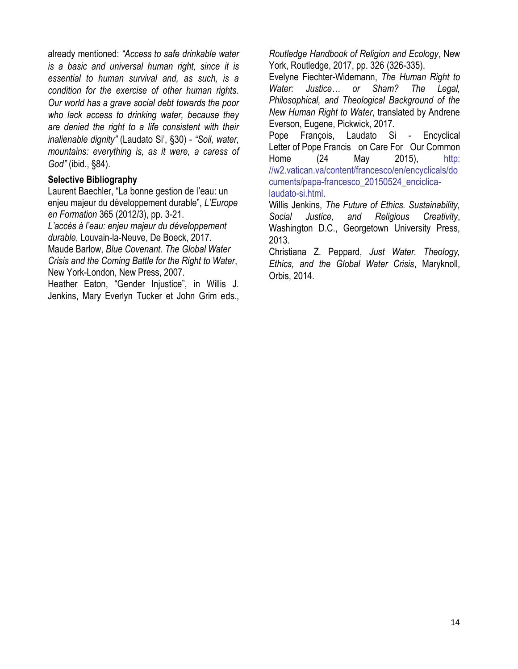already mentioned: *"Access to safe drinkable water is a basic and universal human right, since it is essential to human survival and, as such, is a condition for the exercise of other human rights. Our world has a grave social debt towards the poor who lack access to drinking water, because they are denied the right to a life consistent with their inalienable dignity"* (Laudato Si', §30) - *"Soil, water, mountains: everything is, as it were, a caress of God"* (ibid., §84).

#### **Selective Bibliography**

Laurent Baechler, "La bonne gestion de l'eau: un enjeu majeur du développement durable", *L'Europe en Formation* 365 (2012/3), pp. 3-21.

*L'accès à l'eau: enjeu majeur du développement durable*, Louvain-la-Neuve, De Boeck, 2017. Maude Barlow, *Blue Covenant. The Global Water Crisis and the Coming Battle for the Right to Water*,

New York-London, New Press, 2007.

Heather Eaton, "Gender Injustice", in Willis J. Jenkins, Mary Everlyn Tucker et John Grim eds., *Routledge Handbook of Religion and Ecology*, New York, Routledge, 2017, pp. 326 (326-335).

Evelyne Fiechter-Widemann, *The Human Right to Water: Justice… or Sham? The Legal, Philosophical, and Theological Background of the New Human Right to Water*, translated by Andrene Everson, Eugene, Pickwick, 2017.

Pope François, Laudato Si - Encyclical Letter of Pope Francis on Care For Our Common Home (24 May 2015), [http:](http://w2.vatican.va/content/francesco/en/encyclicals/documents/papa-francesco_20150524_enciclica-laudato-si.html)  [//w2.vatican.va/content/francesco/en/encyclicals/do](http://w2.vatican.va/content/francesco/en/encyclicals/documents/papa-francesco_20150524_enciclica-laudato-si.html) [cuments/papa-francesco\\_20150524\\_enciclica](http://w2.vatican.va/content/francesco/en/encyclicals/documents/papa-francesco_20150524_enciclica-laudato-si.html)[laudato-si.html.](http://w2.vatican.va/content/francesco/en/encyclicals/documents/papa-francesco_20150524_enciclica-laudato-si.html)

Willis Jenkins, *The Future of Ethics. Sustainability, Social Justice, and Religious Creativity*, Washington D.C., Georgetown University Press, 2013.

Christiana Z. Peppard, *Just Water. Theology, Ethics, and the Global Water Crisis*, Maryknoll, Orbis, 2014.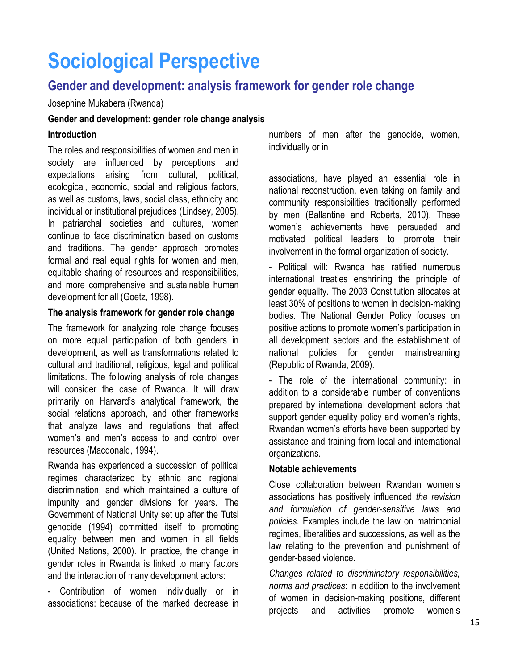# **Sociological Perspective**

## **Gender and development: analysis framework for gender role change**

#### Josephine Mukabera (Rwanda)

#### **Gender and development: gender role change analysis**

#### **Introduction**

The roles and responsibilities of women and men in society are influenced by perceptions and expectations arising from cultural, political, ecological, economic, social and religious factors, as well as customs, laws, social class, ethnicity and individual or institutional prejudices (Lindsey, 2005). In patriarchal societies and cultures, women continue to face discrimination based on customs and traditions. The gender approach promotes formal and real equal rights for women and men, equitable sharing of resources and responsibilities, and more comprehensive and sustainable human development for all (Goetz, 1998).

#### **The analysis framework for gender role change**

The framework for analyzing role change focuses on more equal participation of both genders in development, as well as transformations related to cultural and traditional, religious, legal and political limitations. The following analysis of role changes will consider the case of Rwanda. It will draw primarily on Harvard's analytical framework, the social relations approach, and other frameworks that analyze laws and regulations that affect women's and men's access to and control over resources (Macdonald, 1994).

Rwanda has experienced a succession of political regimes characterized by ethnic and regional discrimination, and which maintained a culture of impunity and gender divisions for years. The Government of National Unity set up after the Tutsi genocide (1994) committed itself to promoting equality between men and women in all fields (United Nations, 2000). In practice, the change in gender roles in Rwanda is linked to many factors and the interaction of many development actors:

- Contribution of women individually or in associations: because of the marked decrease in

numbers of men after the genocide, women, individually or in

associations, have played an essential role in national reconstruction, even taking on family and community responsibilities traditionally performed by men (Ballantine and Roberts, 2010). These women's achievements have persuaded and motivated political leaders to promote their involvement in the formal organization of society.

- Political will: Rwanda has ratified numerous international treaties enshrining the principle of gender equality. The 2003 Constitution allocates at least 30% of positions to women in decision-making bodies. The National Gender Policy focuses on positive actions to promote women's participation in all development sectors and the establishment of national policies for gender mainstreaming (Republic of Rwanda, 2009).

- The role of the international community: in addition to a considerable number of conventions prepared by international development actors that support gender equality policy and women's rights, Rwandan women's efforts have been supported by assistance and training from local and international organizations.

#### **Notable achievements**

Close collaboration between Rwandan women's associations has positively influenced *the revision and formulation of gender-sensitive laws and policies*. Examples include the law on matrimonial regimes, liberalities and successions, as well as the law relating to the prevention and punishment of gender-based violence.

*Changes related to discriminatory responsibilities, norms and practices*: in addition to the involvement of women in decision-making positions, different projects and activities promote women's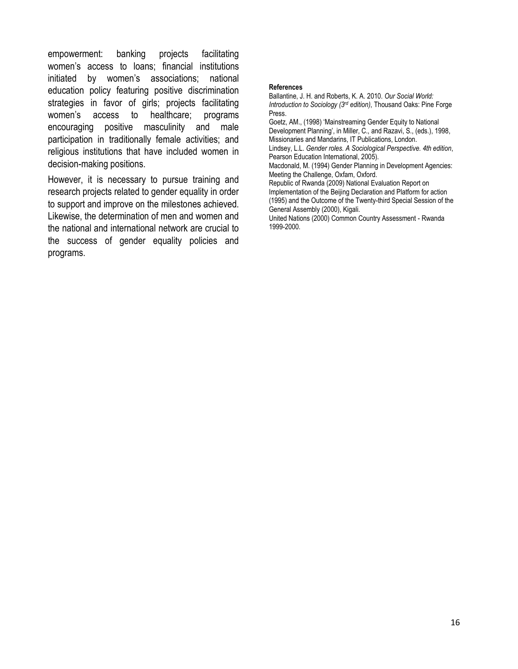empowerment: banking projects facilitating women's access to loans; financial institutions initiated by women's associations; national education policy featuring positive discrimination strategies in favor of girls; projects facilitating women's access to healthcare; programs encouraging positive masculinity and male participation in traditionally female activities; and religious institutions that have included women in decision-making positions.

However, it is necessary to pursue training and research projects related to gender equality in order to support and improve on the milestones achieved. Likewise, the determination of men and women and the national and international network are crucial to the success of gender equality policies and programs.

#### **References**

Ballantine, J. H. and Roberts, K. A. 2010. *Our Social World: Introduction to Sociology (3rd edition)*, Thousand Oaks: Pine Forge Press.

Goetz, AM., (1998) 'Mainstreaming Gender Equity to National Development Planning', in Miller, C., and Razavi, S., (eds.), 1998, Missionaries and Mandarins, IT Publications, London.

Lindsey, L.L. *Gender roles. A Sociological Perspective. 4th edition*, Pearson Education International, 2005).

Macdonald, M. (1994) Gender Planning in Development Agencies: Meeting the Challenge, Oxfam, Oxford.

Republic of Rwanda (2009) National Evaluation Report on Implementation of the Beijing Declaration and Platform for action (1995) and the Outcome of the Twenty-third Special Session of the General Assembly (2000), Kigali.

United Nations (2000) Common Country Assessment - Rwanda 1999-2000.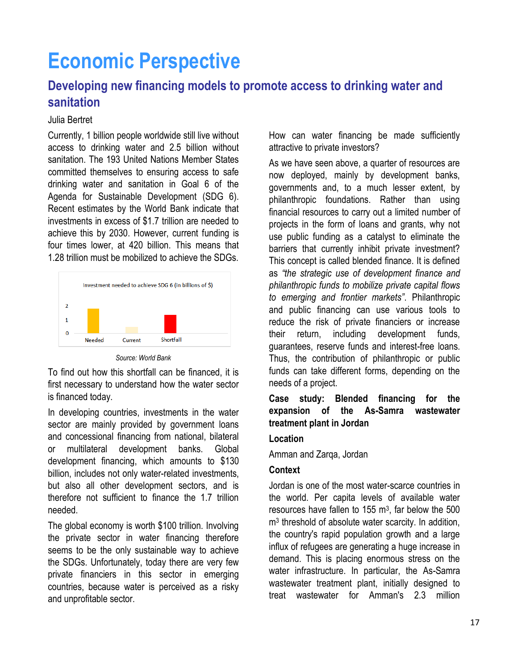# **Economic Perspective**

## **Developing new financing models to promote access to drinking water and sanitation**

#### Julia Bertret

Currently, 1 billion people worldwide still live without access to drinking water and 2.5 billion without sanitation. The 193 United Nations Member States committed themselves to ensuring access to safe drinking water and sanitation in Goal 6 of the Agenda for Sustainable Development (SDG 6). Recent estimates by the World Bank indicate that investments in excess of \$1.7 trillion are needed to achieve this by 2030. However, current funding is four times lower, at 420 billion. This means that 1.28 trillion must be mobilized to achieve the SDGs.



*Source: World Bank*

To find out how this shortfall can be financed, it is first necessary to understand how the water sector is financed today.

In developing countries, investments in the water sector are mainly provided by government loans and concessional financing from national, bilateral or multilateral development banks. Global development financing, which amounts to \$130 billion, includes not only water-related investments, but also all other development sectors, and is therefore not sufficient to finance the 1.7 trillion needed.

The global economy is worth \$100 trillion. Involving the private sector in water financing therefore seems to be the only sustainable way to achieve the SDGs. Unfortunately, today there are very few private financiers in this sector in emerging countries, because water is perceived as a risky and unprofitable sector.

How can water financing be made sufficiently attractive to private investors?

As we have seen above, a quarter of resources are now deployed, mainly by development banks, governments and, to a much lesser extent, by philanthropic foundations. Rather than using financial resources to carry out a limited number of projects in the form of loans and grants, why not use public funding as a catalyst to eliminate the barriers that currently inhibit private investment? This concept is called blended finance. It is defined as *"the strategic use of development finance and philanthropic funds to mobilize private capital flows to emerging and frontier markets"*. Philanthropic and public financing can use various tools to reduce the risk of private financiers or increase their return, including development funds, guarantees, reserve funds and interest-free loans. Thus, the contribution of philanthropic or public funds can take different forms, depending on the needs of a project.

#### **Case study: Blended financing for the expansion of the As-Samra wastewater treatment plant in Jordan**

#### **Location**

Amman and Zarqa, Jordan

#### **Context**

Jordan is one of the most water-scarce countries in the world. Per capita levels of available water resources have fallen to 155  $\mathrm{m}^3$ , far below the 500 m3 threshold of absolute water scarcity. In addition, the country's rapid population growth and a large influx of refugees are generating a huge increase in demand. This is placing enormous stress on the water infrastructure. In particular, the As-Samra wastewater treatment plant, initially designed to treat wastewater for Amman's 2.3 million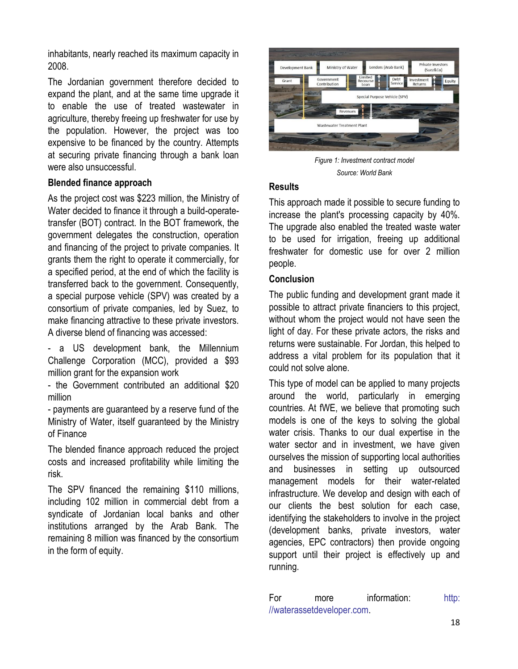inhabitants, nearly reached its maximum capacity in 2008.

The Jordanian government therefore decided to expand the plant, and at the same time upgrade it to enable the use of treated wastewater in agriculture, thereby freeing up freshwater for use by the population. However, the project was too expensive to be financed by the country. Attempts at securing private financing through a bank loan were also unsuccessful.

#### **Blended finance approach**

As the project cost was \$223 million, the Ministry of Water decided to finance it through a build-operatetransfer (BOT) contract. In the BOT framework, the government delegates the construction, operation and financing of the project to private companies. It grants them the right to operate it commercially, for a specified period, at the end of which the facility is transferred back to the government. Consequently, a special purpose vehicle (SPV) was created by a consortium of private companies, led by Suez, to make financing attractive to these private investors. A diverse blend of financing was accessed:

- a US development bank, the Millennium Challenge Corporation (MCC), provided a \$93 million grant for the expansion work

- the Government contributed an additional \$20 million

- payments are guaranteed by a reserve fund of the Ministry of Water, itself guaranteed by the Ministry of Finance

The blended finance approach reduced the project costs and increased profitability while limiting the risk.

The SPV financed the remaining \$110 millions, including 102 million in commercial debt from a syndicate of Jordanian local banks and other institutions arranged by the Arab Bank. The remaining 8 million was financed by the consortium in the form of equity.



*Figure 1: Investment contract model Source: World Bank*

#### **Results**

This approach made it possible to secure funding to increase the plant's processing capacity by 40%. The upgrade also enabled the treated waste water to be used for irrigation, freeing up additional freshwater for domestic use for over 2 million people.

#### **Conclusion**

The public funding and development grant made it possible to attract private financiers to this project, without whom the project would not have seen the light of day. For these private actors, the risks and returns were sustainable. For Jordan, this helped to address a vital problem for its population that it could not solve alone.

This type of model can be applied to many projects around the world, particularly in emerging countries. At fWE, we believe that promoting such models is one of the keys to solving the global water crisis. Thanks to our dual expertise in the water sector and in investment, we have given ourselves the mission of supporting local authorities and businesses in setting up outsourced management models for their water-related infrastructure. We develop and design with each of our clients the best solution for each case, identifying the stakeholders to involve in the project (development banks, private investors, water agencies, EPC contractors) then provide ongoing support until their project is effectively up and running.

For more information: http: [//waterassetdeveloper.com.](http://waterassetdeveloper.com/)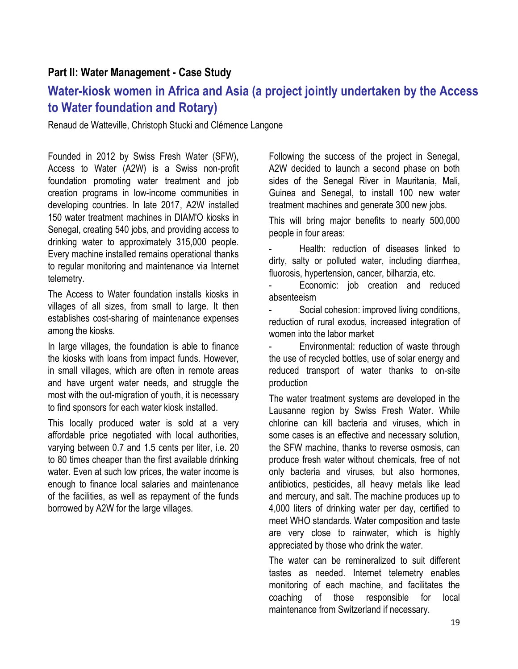## **Part II: Water Management - Case Study**

## **Water-kiosk women in Africa and Asia (a project jointly undertaken by the Access to Water foundation and Rotary)**

Renaud de Watteville, Christoph Stucki and Clémence Langone

Founded in 2012 by Swiss Fresh Water (SFW), Access to Water (A2W) is a Swiss non-profit foundation promoting water treatment and job creation programs in low-income communities in developing countries. In late 2017, A2W installed 150 water treatment machines in DIAM'O kiosks in Senegal, creating 540 jobs, and providing access to drinking water to approximately 315,000 people. Every machine installed remains operational thanks to regular monitoring and maintenance via Internet telemetry.

The Access to Water foundation installs kiosks in villages of all sizes, from small to large. It then establishes cost-sharing of maintenance expenses among the kiosks.

In large villages, the foundation is able to finance the kiosks with loans from impact funds. However, in small villages, which are often in remote areas and have urgent water needs, and struggle the most with the out-migration of youth, it is necessary to find sponsors for each water kiosk installed.

This locally produced water is sold at a very affordable price negotiated with local authorities, varying between 0.7 and 1.5 cents per liter, i.e. 20 to 80 times cheaper than the first available drinking water. Even at such low prices, the water income is enough to finance local salaries and maintenance of the facilities, as well as repayment of the funds borrowed by A2W for the large villages.

Following the success of the project in Senegal, A2W decided to launch a second phase on both sides of the Senegal River in Mauritania, Mali, Guinea and Senegal, to install 100 new water treatment machines and generate 300 new jobs.

This will bring major benefits to nearly 500,000 people in four areas:

Health: reduction of diseases linked to dirty, salty or polluted water, including diarrhea, fluorosis, hypertension, cancer, bilharzia, etc.

Economic: job creation and reduced absenteeism

- Social cohesion: improved living conditions, reduction of rural exodus, increased integration of women into the labor market

- Environmental: reduction of waste through the use of recycled bottles, use of solar energy and reduced transport of water thanks to on-site production

The water treatment systems are developed in the Lausanne region by Swiss Fresh Water. While chlorine can kill bacteria and viruses, which in some cases is an effective and necessary solution, the SFW machine, thanks to reverse osmosis, can produce fresh water without chemicals, free of not only bacteria and viruses, but also hormones, antibiotics, pesticides, all heavy metals like lead and mercury, and salt. The machine produces up to 4,000 liters of drinking water per day, certified to meet WHO standards. Water composition and taste are very close to rainwater, which is highly appreciated by those who drink the water.

The water can be remineralized to suit different tastes as needed. Internet telemetry enables monitoring of each machine, and facilitates the coaching of those responsible for local maintenance from Switzerland if necessary.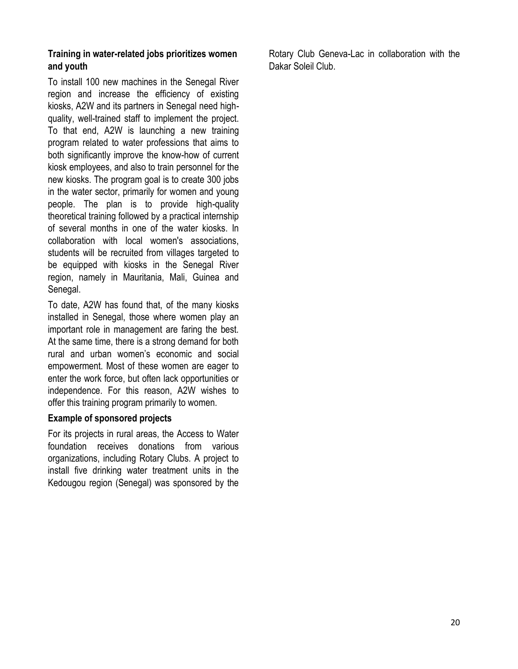#### **Training in water-related jobs prioritizes women and youth**

To install 100 new machines in the Senegal River region and increase the efficiency of existing kiosks, A2W and its partners in Senegal need highquality, well-trained staff to implement the project. To that end, A2W is launching a new training program related to water professions that aims to both significantly improve the know-how of current kiosk employees, and also to train personnel for the new kiosks. The program goal is to create 300 jobs in the water sector, primarily for women and young people. The plan is to provide high-quality theoretical training followed by a practical internship of several months in one of the water kiosks. In collaboration with local women's associations, students will be recruited from villages targeted to be equipped with kiosks in the Senegal River region, namely in Mauritania, Mali, Guinea and Senegal.

To date, A2W has found that, of the many kiosks installed in Senegal, those where women play an important role in management are faring the best. At the same time, there is a strong demand for both rural and urban women's economic and social empowerment. Most of these women are eager to enter the work force, but often lack opportunities or independence. For this reason, A2W wishes to offer this training program primarily to women.

#### **Example of sponsored projects**

For its projects in rural areas, the Access to Water foundation receives donations from various organizations, including Rotary Clubs. A project to install five drinking water treatment units in the Kedougou region (Senegal) was sponsored by the Rotary Club Geneva-Lac in collaboration with the Dakar Soleil Club.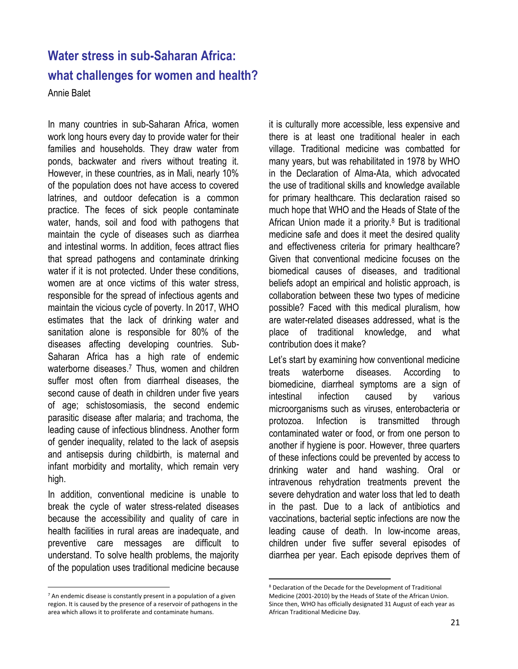# **Water stress in sub-Saharan Africa: what challenges for women and health?**

Annie Balet

In many countries in sub-Saharan Africa, women work long hours every day to provide water for their families and households. They draw water from ponds, backwater and rivers without treating it. However, in these countries, as in Mali, nearly 10% of the population does not have access to covered latrines, and outdoor defecation is a common practice. The feces of sick people contaminate water, hands, soil and food with pathogens that maintain the cycle of diseases such as diarrhea and intestinal worms. In addition, feces attract flies that spread pathogens and contaminate drinking water if it is not protected. Under these conditions, women are at once victims of this water stress, responsible for the spread of infectious agents and maintain the vicious cycle of poverty. In 2017, WHO estimates that the lack of drinking water and sanitation alone is responsible for 80% of the diseases affecting developing countries. Sub-Saharan Africa has a high rate of endemic waterborne diseases. <sup>7</sup> Thus, women and children suffer most often from diarrheal diseases, the second cause of death in children under five years of age; schistosomiasis, the second endemic parasitic disease after malaria; and trachoma, the leading cause of infectious blindness. Another form of gender inequality, related to the lack of asepsis and antisepsis during childbirth, is maternal and infant morbidity and mortality, which remain very high.

In addition, conventional medicine is unable to break the cycle of water stress-related diseases because the accessibility and quality of care in health facilities in rural areas are inadequate, and preventive care messages are difficult to understand. To solve health problems, the majority of the population uses traditional medicine because

it is culturally more accessible, less expensive and there is at least one traditional healer in each village. Traditional medicine was combatted for many years, but was rehabilitated in 1978 by WHO in the Declaration of Alma-Ata, which advocated the use of traditional skills and knowledge available for primary healthcare. This declaration raised so much hope that WHO and the Heads of State of the African Union made it a priority. <sup>8</sup> But is traditional medicine safe and does it meet the desired quality and effectiveness criteria for primary healthcare? Given that conventional medicine focuses on the biomedical causes of diseases, and traditional beliefs adopt an empirical and holistic approach, is collaboration between these two types of medicine possible? Faced with this medical pluralism, how are water-related diseases addressed, what is the place of traditional knowledge, and what contribution does it make?

Let's start by examining how conventional medicine treats waterborne diseases. According to biomedicine, diarrheal symptoms are a sign of intestinal infection caused by various microorganisms such as viruses, enterobacteria or protozoa. Infection is transmitted through contaminated water or food, or from one person to another if hygiene is poor. However, three quarters of these infections could be prevented by access to drinking water and hand washing. Oral or intravenous rehydration treatments prevent the severe dehydration and water loss that led to death in the past. Due to a lack of antibiotics and vaccinations, bacterial septic infections are now the leading cause of death. In low-income areas, children under five suffer several episodes of diarrhea per year. Each episode deprives them of

 $\overline{a}$ 

 $\overline{\phantom{a}}$  $7$  An endemic disease is constantly present in a population of a given region. It is caused by the presence of a reservoir of pathogens in the area which allows it to proliferate and contaminate humans.

<sup>8</sup> Declaration of the Decade for the Development of Traditional Medicine (2001-2010) by the Heads of State of the African Union. Since then, WHO has officially designated 31 August of each year as African Traditional Medicine Day.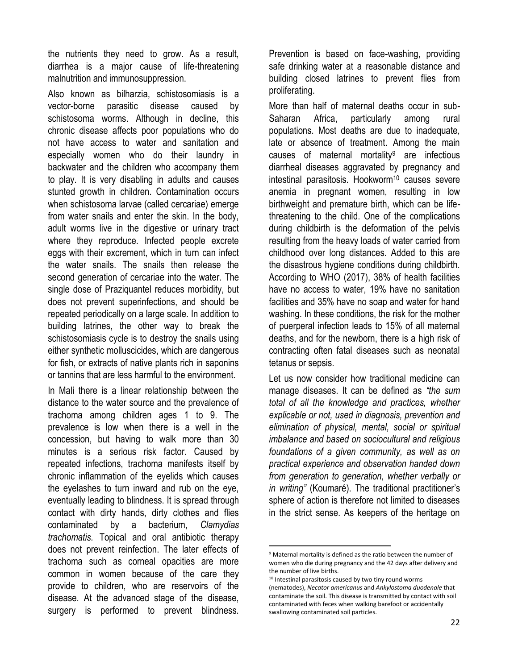the nutrients they need to grow. As a result, diarrhea is a major cause of life-threatening malnutrition and immunosuppression.

Also known as bilharzia, schistosomiasis is a vector-borne parasitic disease caused by schistosoma worms. Although in decline, this chronic disease affects poor populations who do not have access to water and sanitation and especially women who do their laundry in backwater and the children who accompany them to play. It is very disabling in adults and causes stunted growth in children. Contamination occurs when schistosoma larvae (called cercariae) emerge from water snails and enter the skin. In the body, adult worms live in the digestive or urinary tract where they reproduce. Infected people excrete eggs with their excrement, which in turn can infect the water snails. The snails then release the second generation of cercariae into the water. The single dose of Praziquantel reduces morbidity, but does not prevent superinfections, and should be repeated periodically on a large scale. In addition to building latrines, the other way to break the schistosomiasis cycle is to destroy the snails using either synthetic molluscicides, which are dangerous for fish, or extracts of native plants rich in saponins or tannins that are less harmful to the environment.

In Mali there is a linear relationship between the distance to the water source and the prevalence of trachoma among children ages 1 to 9. The prevalence is low when there is a well in the concession, but having to walk more than 30 minutes is a serious risk factor. Caused by repeated infections, trachoma manifests itself by chronic inflammation of the eyelids which causes the eyelashes to turn inward and rub on the eye, eventually leading to blindness. It is spread through contact with dirty hands, dirty clothes and flies contaminated by a bacterium, *Clamydias trachomatis.* Topical and oral antibiotic therapy does not prevent reinfection. The later effects of trachoma such as corneal opacities are more common in women because of the care they provide to children, who are reservoirs of the disease. At the advanced stage of the disease, surgery is performed to prevent blindness.

Prevention is based on face-washing, providing safe drinking water at a reasonable distance and building closed latrines to prevent flies from proliferating.

More than half of maternal deaths occur in sub-Saharan Africa, particularly among rural populations. Most deaths are due to inadequate, late or absence of treatment. Among the main causes of maternal mortality<sup>9</sup> are infectious diarrheal diseases aggravated by pregnancy and intestinal parasitosis. Hookworm<sup>10</sup> causes severe anemia in pregnant women, resulting in low birthweight and premature birth, which can be lifethreatening to the child. One of the complications during childbirth is the deformation of the pelvis resulting from the heavy loads of water carried from childhood over long distances. Added to this are the disastrous hygiene conditions during childbirth. According to WHO (2017), 38% of health facilities have no access to water, 19% have no sanitation facilities and 35% have no soap and water for hand washing. In these conditions, the risk for the mother of puerperal infection leads to 15% of all maternal deaths, and for the newborn, there is a high risk of contracting often fatal diseases such as neonatal tetanus or sepsis.

Let us now consider how traditional medicine can manage diseases. It can be defined as *"the sum total of all the knowledge and practices, whether explicable or not, used in diagnosis, prevention and elimination of physical, mental, social or spiritual imbalance and based on sociocultural and religious foundations of a given community, as well as on practical experience and observation handed down from generation to generation, whether verbally or in writing"* (Koumaré). The traditional practitioner's sphere of action is therefore not limited to diseases in the strict sense. As keepers of the heritage on

 $\overline{a}$ 

<sup>9</sup> Maternal mortality is defined as the ratio between the number of women who die during pregnancy and the 42 days after delivery and the number of live births.

<sup>&</sup>lt;sup>10</sup> Intestinal parasitosis caused by two tiny round worms (nematodes), *Necator americanus* and *Ankylostoma duodenale* that contaminate the soil. This disease is transmitted by contact with soil contaminated with feces when walking barefoot or accidentally swallowing contaminated soil particles.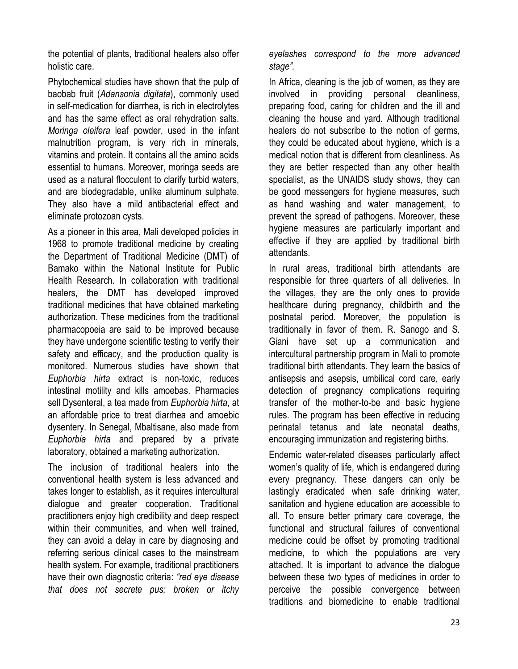the potential of plants, traditional healers also offer holistic care.

Phytochemical studies have shown that the pulp of baobab fruit (*Adansonia digitata*), commonly used in self-medication for diarrhea, is rich in electrolytes and has the same effect as oral rehydration salts. *Moringa oleifera* leaf powder, used in the infant malnutrition program, is very rich in minerals, vitamins and protein. It contains all the amino acids essential to humans. Moreover, moringa seeds are used as a natural flocculent to clarify turbid waters, and are biodegradable, unlike aluminum sulphate. They also have a mild antibacterial effect and eliminate protozoan cysts.

As a pioneer in this area, Mali developed policies in 1968 to promote traditional medicine by creating the Department of Traditional Medicine (DMT) of Bamako within the National Institute for Public Health Research. In collaboration with traditional healers, the DMT has developed improved traditional medicines that have obtained marketing authorization. These medicines from the traditional pharmacopoeia are said to be improved because they have undergone scientific testing to verify their safety and efficacy, and the production quality is monitored. Numerous studies have shown that *Euphorbia hirta* extract is non-toxic, reduces intestinal motility and kills amoebas. Pharmacies sell Dysenteral, a tea made from *Euphorbia hirta*, at an affordable price to treat diarrhea and amoebic dysentery. In Senegal, Mbaltisane, also made from *Euphorbia hirta* and prepared by a private laboratory, obtained a marketing authorization.

The inclusion of traditional healers into the conventional health system is less advanced and takes longer to establish, as it requires intercultural dialogue and greater cooperation. Traditional practitioners enjoy high credibility and deep respect within their communities, and when well trained, they can avoid a delay in care by diagnosing and referring serious clinical cases to the mainstream health system. For example, traditional practitioners have their own diagnostic criteria: *"red eye disease that does not secrete pus; broken or itchy*  *eyelashes correspond to the more advanced stage".* 

In Africa, cleaning is the job of women, as they are involved in providing personal cleanliness, preparing food, caring for children and the ill and cleaning the house and yard. Although traditional healers do not subscribe to the notion of germs, they could be educated about hygiene, which is a medical notion that is different from cleanliness. As they are better respected than any other health specialist, as the UNAIDS study shows, they can be good messengers for hygiene measures, such as hand washing and water management, to prevent the spread of pathogens. Moreover, these hygiene measures are particularly important and effective if they are applied by traditional birth attendants.

In rural areas, traditional birth attendants are responsible for three quarters of all deliveries. In the villages, they are the only ones to provide healthcare during pregnancy, childbirth and the postnatal period. Moreover, the population is traditionally in favor of them. R. Sanogo and S. Giani have set up a communication and intercultural partnership program in Mali to promote traditional birth attendants. They learn the basics of antisepsis and asepsis, umbilical cord care, early detection of pregnancy complications requiring transfer of the mother-to-be and basic hygiene rules. The program has been effective in reducing perinatal tetanus and late neonatal deaths, encouraging immunization and registering births.

Endemic water-related diseases particularly affect women's quality of life, which is endangered during every pregnancy. These dangers can only be lastingly eradicated when safe drinking water, sanitation and hygiene education are accessible to all. To ensure better primary care coverage, the functional and structural failures of conventional medicine could be offset by promoting traditional medicine, to which the populations are very attached. It is important to advance the dialogue between these two types of medicines in order to perceive the possible convergence between traditions and biomedicine to enable traditional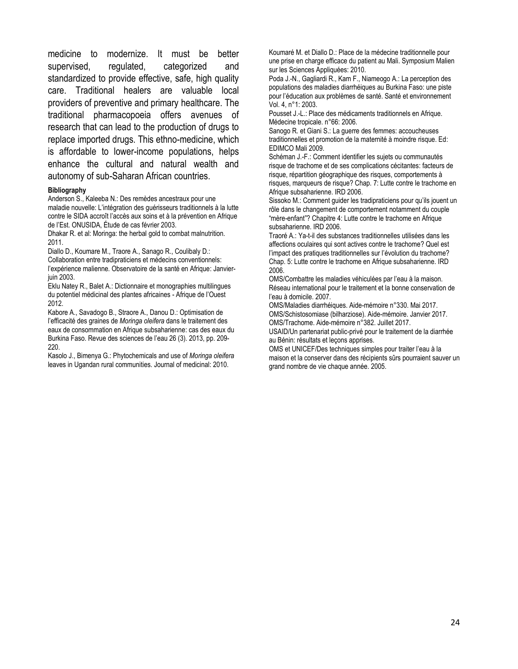medicine to modernize. It must be better supervised, regulated, categorized and standardized to provide effective, safe, high quality care. Traditional healers are valuable local providers of preventive and primary healthcare. The traditional pharmacopoeia offers avenues of research that can lead to the production of drugs to replace imported drugs. This ethno-medicine, which is affordable to lower-income populations, helps enhance the cultural and natural wealth and autonomy of sub-Saharan African countries.

#### **Bibliography**

Anderson S., Kaleeba N.: Des remèdes ancestraux pour une maladie nouvelle: L'intégration des guérisseurs traditionnels à la lutte contre le SIDA accroît l'accès aux soins et à la prévention en Afrique de l'Est. ONUSIDA, Étude de cas février 2003.

Dhakar R. et al: Moringa: the herbal gold to combat malnutrition. 2011.

Diallo D., Koumare M., Traore A., Sanago R., Coulibaly D.: Collaboration entre tradipraticiens et médecins conventionnels: l'expérience malienne. Observatoire de la santé en Afrique: Janvier-

juin 2003.

Eklu Natey R., Balet A.: Dictionnaire et monographies multilingues du potentiel médicinal des plantes africaines - Afrique de l'Ouest 2012.

Kabore A., Savadogo B., Straore A., Danou D.: Optimisation de l'efficacité des graines de *Moringa oleifera* dans le traitement des eaux de consommation en Afrique subsaharienne: cas des eaux du Burkina Faso. Revue des sciences de l'eau 26 (3). 2013, pp. 209- 220.

Kasolo J., Bimenya G.: Phytochemicals and use of *Moringa oleifera* leaves in Ugandan rural communities. Journal of medicinal: 2010.

Koumaré M. et Diallo D.: Place de la médecine traditionnelle pour une prise en charge efficace du patient au Mali. Symposium Malien sur les Sciences Appliquées: 2010.

Poda J.-N., Gagliardi R., Kam F., Niameogo A.: La perception des populations des maladies diarrhéiques au Burkina Faso: une piste pour l'éducation aux problèmes de santé. Santé et environnement Vol. 4, n°1: 2003.

Pousset J.-L.: Place des médicaments traditionnels en Afrique. Médecine tropicale. n°66: 2006.

Sanogo R. et Giani S.: La guerre des femmes: accoucheuses traditionnelles et promotion de la maternité à moindre risque. Ed: EDIMCO Mali 2009.

Schéman J.-F.: Comment identifier les sujets ou communautés risque de trachome et de ses complications cécitantes: facteurs de risque, répartition géographique des risques, comportements à risques, marqueurs de risque? Chap. 7: Lutte contre le trachome en Afrique subsaharienne. IRD 2006.

Sissoko M.: Comment guider les tradipraticiens pour qu'ils jouent un rôle dans le changement de comportement notamment du couple "mère-enfant"? Chapitre 4: Lutte contre le trachome en Afrique subsaharienne. IRD 2006.

Traoré A.: Ya-t-il des substances traditionnelles utilisées dans les affections oculaires qui sont actives contre le trachome? Quel est l'impact des pratiques traditionnelles sur l'évolution du trachome? Chap. 5: Lutte contre le trachome en Afrique subsaharienne. IRD 2006.

OMS/Combattre les maladies véhiculées par l'eau à la maison. Réseau international pour le traitement et la bonne conservation de l'eau à domicile. 2007.

OMS/Maladies diarrhéiques. Aide-mémoire n°330. Mai 2017. OMS/Schistosomiase (bilharziose). Aide-mémoire. Janvier 2017. OMS/Trachome. Aide-mémoire n°382. Juillet 2017.

USAID/Un partenariat public-privé pour le traitement de la diarrhée au Bénin: résultats et leçons apprises.

OMS et UNICEF/Des techniques simples pour traiter l'eau à la maison et la conserver dans des récipients sûrs pourraient sauver un grand nombre de vie chaque année. 2005.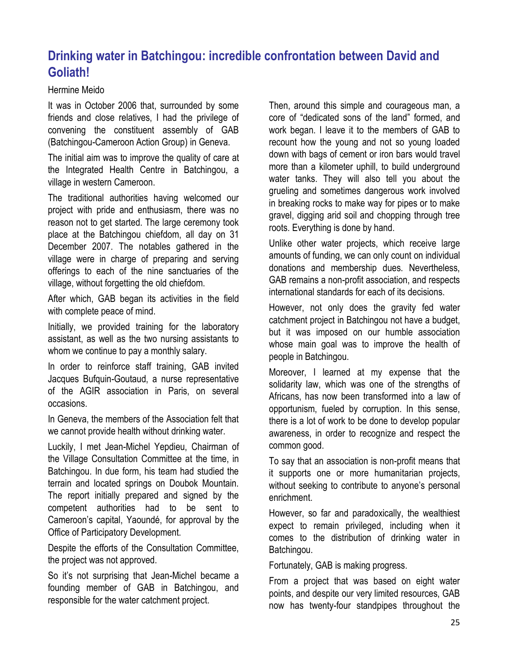## **Drinking water in Batchingou: incredible confrontation between David and Goliath!**

#### Hermine Meido

It was in October 2006 that, surrounded by some friends and close relatives, I had the privilege of convening the constituent assembly of GAB (Batchingou-Cameroon Action Group) in Geneva.

The initial aim was to improve the quality of care at the Integrated Health Centre in Batchingou, a village in western Cameroon.

The traditional authorities having welcomed our project with pride and enthusiasm, there was no reason not to get started. The large ceremony took place at the Batchingou chiefdom, all day on 31 December 2007. The notables gathered in the village were in charge of preparing and serving offerings to each of the nine sanctuaries of the village, without forgetting the old chiefdom.

After which, GAB began its activities in the field with complete peace of mind.

Initially, we provided training for the laboratory assistant, as well as the two nursing assistants to whom we continue to pay a monthly salary.

In order to reinforce staff training, GAB invited Jacques Bufquin-Goutaud, a nurse representative of the AGIR association in Paris, on several occasions.

In Geneva, the members of the Association felt that we cannot provide health without drinking water.

Luckily, I met Jean-Michel Yepdieu, Chairman of the Village Consultation Committee at the time, in Batchingou. In due form, his team had studied the terrain and located springs on Doubok Mountain. The report initially prepared and signed by the competent authorities had to be sent to Cameroon's capital, Yaoundé, for approval by the Office of Participatory Development.

Despite the efforts of the Consultation Committee, the project was not approved.

So it's not surprising that Jean-Michel became a founding member of GAB in Batchingou, and responsible for the water catchment project.

Then, around this simple and courageous man, a core of "dedicated sons of the land" formed, and work began. I leave it to the members of GAB to recount how the young and not so young loaded down with bags of cement or iron bars would travel more than a kilometer uphill, to build underground water tanks. They will also tell you about the grueling and sometimes dangerous work involved in breaking rocks to make way for pipes or to make gravel, digging arid soil and chopping through tree roots. Everything is done by hand.

Unlike other water projects, which receive large amounts of funding, we can only count on individual donations and membership dues. Nevertheless, GAB remains a non-profit association, and respects international standards for each of its decisions.

However, not only does the gravity fed water catchment project in Batchingou not have a budget, but it was imposed on our humble association whose main goal was to improve the health of people in Batchingou.

Moreover, I learned at my expense that the solidarity law, which was one of the strengths of Africans, has now been transformed into a law of opportunism, fueled by corruption. In this sense, there is a lot of work to be done to develop popular awareness, in order to recognize and respect the common good.

To say that an association is non-profit means that it supports one or more humanitarian projects, without seeking to contribute to anyone's personal enrichment.

However, so far and paradoxically, the wealthiest expect to remain privileged, including when it comes to the distribution of drinking water in Batchingou.

Fortunately, GAB is making progress.

From a project that was based on eight water points, and despite our very limited resources, GAB now has twenty-four standpipes throughout the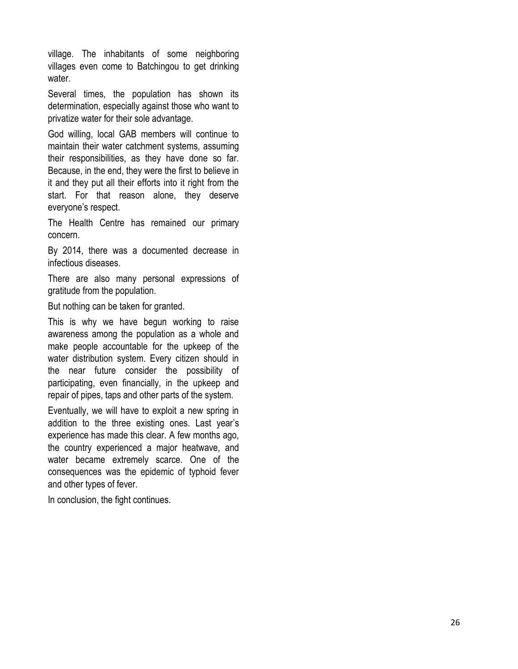village. The inhabitants of some neighboring villages even come to Batchingou to get drinking water.

Several times, the population has shown its determination, especially against those who want to privatize water for their sole advantage.

God willing, local GAB members will continue to maintain their water catchment systems, assuming their responsibilities, as they have done so far. Because, in the end, they were the first to believe in it and they put all their efforts into it right from the start. For that reason alone, they deserve everyone's respect.

The Health Centre has remained our primary concern.

By 2014, there was a documented decrease in infectious diseases.

There are also many personal expressions of gratitude from the population.

But nothing can be taken for granted.

This is why we have begun working to raise awareness among the population as a whole and make people accountable for the upkeep of the water distribution system. Every citizen should in the near future consider the possibility of participating, even financially, in the upkeep and repair of pipes, taps and other parts of the system.

Eventually, we will have to exploit a new spring in addition to the three existing ones. Last year's experience has made this clear. A few months ago, the country experienced a major heatwave, and water became extremely scarce. One of the consequences was the epidemic of typhoid fever and other types of fever.

In conclusion, the fight continues.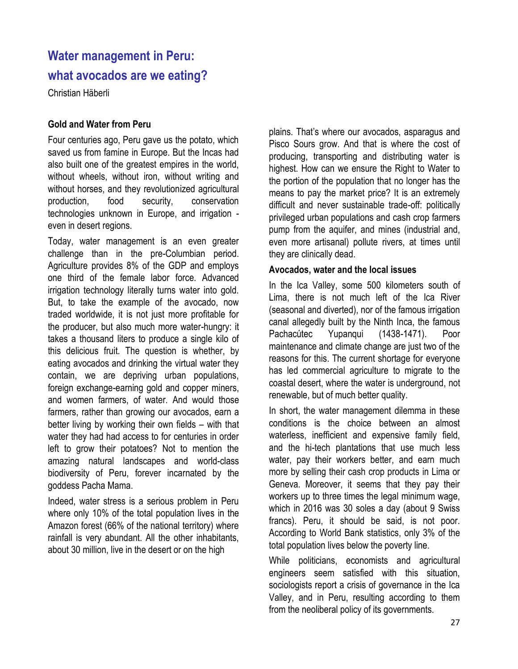# **Water management in Peru: what avocados are we eating?**

Christian Häberli

#### **Gold and Water from Peru**

Four centuries ago, Peru gave us the potato, which saved us from famine in Europe. But the Incas had also built one of the greatest empires in the world, without wheels, without iron, without writing and without horses, and they revolutionized agricultural production, food security, conservation technologies unknown in Europe, and irrigation even in desert regions.

Today, water management is an even greater challenge than in the pre-Columbian period. Agriculture provides 8% of the GDP and employs one third of the female labor force. Advanced irrigation technology literally turns water into gold. But, to take the example of the avocado, now traded worldwide, it is not just more profitable for the producer, but also much more water-hungry: it takes a thousand liters to produce a single kilo of this delicious fruit. The question is whether, by eating avocados and drinking the virtual water they contain, we are depriving urban populations, foreign exchange-earning gold and copper miners, and women farmers, of water. And would those farmers, rather than growing our avocados, earn a better living by working their own fields – with that water they had had access to for centuries in order left to grow their potatoes? Not to mention the amazing natural landscapes and world-class biodiversity of Peru, forever incarnated by the goddess Pacha Mama.

Indeed, water stress is a serious problem in Peru where only 10% of the total population lives in the Amazon forest (66% of the national territory) where rainfall is very abundant. All the other inhabitants, about 30 million, live in the desert or on the high

plains. That's where our avocados, asparagus and Pisco Sours grow. And that is where the cost of producing, transporting and distributing water is highest. How can we ensure the Right to Water to the portion of the population that no longer has the means to pay the market price? It is an extremely difficult and never sustainable trade-off: politically privileged urban populations and cash crop farmers pump from the aquifer, and mines (industrial and, even more artisanal) pollute rivers, at times until they are clinically dead.

#### **Avocados, water and the local issues**

In the Ica Valley, some 500 kilometers south of Lima, there is not much left of the Ica River (seasonal and diverted), nor of the famous irrigation canal allegedly built by the Ninth Inca, the famous Pachacútec Yupanqui (1438-1471). Poor maintenance and climate change are just two of the reasons for this. The current shortage for everyone has led commercial agriculture to migrate to the coastal desert, where the water is underground, not renewable, but of much better quality.

In short, the water management dilemma in these conditions is the choice between an almost waterless, inefficient and expensive family field, and the hi-tech plantations that use much less water, pay their workers better, and earn much more by selling their cash crop products in Lima or Geneva. Moreover, it seems that they pay their workers up to three times the legal minimum wage, which in 2016 was 30 soles a day (about 9 Swiss francs). Peru, it should be said, is not poor. According to World Bank statistics, only 3% of the total population lives below the poverty line.

While politicians, economists and agricultural engineers seem satisfied with this situation, sociologists report a crisis of governance in the Ica Valley, and in Peru, resulting according to them from the neoliberal policy of its governments.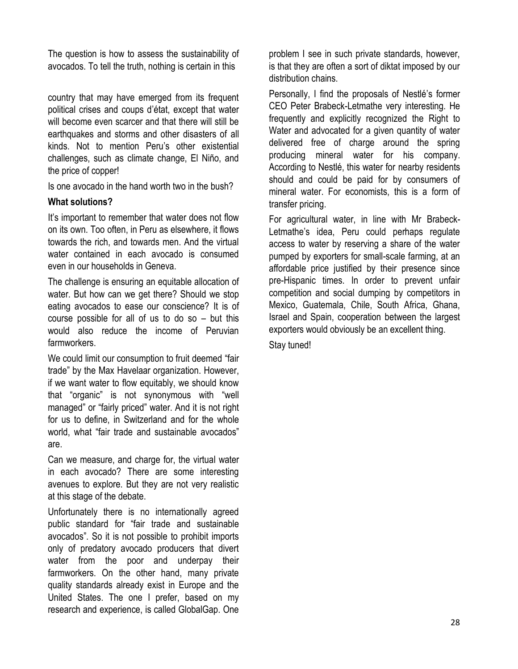The question is how to assess the sustainability of avocados. To tell the truth, nothing is certain in this

country that may have emerged from its frequent political crises and coups d'état, except that water will become even scarcer and that there will still be earthquakes and storms and other disasters of all kinds. Not to mention Peru's other existential challenges, such as climate change, El Niño, and the price of copper!

Is one avocado in the hand worth two in the bush?

#### **What solutions?**

It's important to remember that water does not flow on its own. Too often, in Peru as elsewhere, it flows towards the rich, and towards men. And the virtual water contained in each avocado is consumed even in our households in Geneva.

The challenge is ensuring an equitable allocation of water. But how can we get there? Should we stop eating avocados to ease our conscience? It is of course possible for all of us to do so – but this would also reduce the income of Peruvian farmworkers.

We could limit our consumption to fruit deemed "fair trade" by the Max Havelaar organization. However, if we want water to flow equitably, we should know that "organic" is not synonymous with "well managed" or "fairly priced" water. And it is not right for us to define, in Switzerland and for the whole world, what "fair trade and sustainable avocados" are.

Can we measure, and charge for, the virtual water in each avocado? There are some interesting avenues to explore. But they are not very realistic at this stage of the debate.

Unfortunately there is no internationally agreed public standard for "fair trade and sustainable avocados". So it is not possible to prohibit imports only of predatory avocado producers that divert water from the poor and underpay their farmworkers. On the other hand, many private quality standards already exist in Europe and the United States. The one I prefer, based on my research and experience, is called GlobalGap. One problem I see in such private standards, however, is that they are often a sort of diktat imposed by our distribution chains.

Personally, I find the proposals of Nestlé's former CEO Peter Brabeck-Letmathe very interesting. He frequently and explicitly recognized the Right to Water and advocated for a given quantity of water delivered free of charge around the spring producing mineral water for his company. According to Nestlé, this water for nearby residents should and could be paid for by consumers of mineral water. For economists, this is a form of transfer pricing.

For agricultural water, in line with Mr Brabeck-Letmathe's idea, Peru could perhaps regulate access to water by reserving a share of the water pumped by exporters for small-scale farming, at an affordable price justified by their presence since pre-Hispanic times. In order to prevent unfair competition and social dumping by competitors in Mexico, Guatemala, Chile, South Africa, Ghana, Israel and Spain, cooperation between the largest exporters would obviously be an excellent thing. Stay tuned!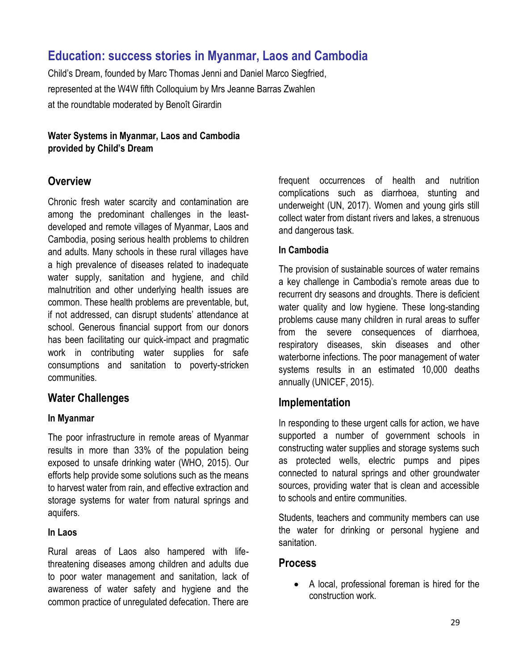## **Education: success stories in Myanmar, Laos and Cambodia**

Child's Dream, founded by Marc Thomas Jenni and Daniel Marco Siegfried, represented at the W4W fifth Colloquium by Mrs Jeanne Barras Zwahlen at the roundtable moderated by Benoît Girardin

**Water Systems in Myanmar, Laos and Cambodia provided by Child's Dream**

### **Overview**

Chronic fresh water scarcity and contamination are among the predominant challenges in the leastdeveloped and remote villages of Myanmar, Laos and Cambodia, posing serious health problems to children and adults. Many schools in these rural villages have a high prevalence of diseases related to inadequate water supply, sanitation and hygiene, and child malnutrition and other underlying health issues are common. These health problems are preventable, but, if not addressed, can disrupt students' attendance at school. Generous financial support from our donors has been facilitating our quick-impact and pragmatic work in contributing water supplies for safe consumptions and sanitation to poverty-stricken communities.

### **Water Challenges**

#### **In Myanmar**

The poor infrastructure in remote areas of Myanmar results in more than 33% of the population being exposed to unsafe drinking water (WHO, 2015). Our efforts help provide some solutions such as the means to harvest water from rain, and effective extraction and storage systems for water from natural springs and aquifers.

#### **In Laos**

Rural areas of Laos also hampered with lifethreatening diseases among children and adults due to poor water management and sanitation, lack of awareness of water safety and hygiene and the common practice of unregulated defecation. There are

frequent occurrences of health and nutrition complications such as diarrhoea, stunting and underweight (UN, 2017). Women and young girls still collect water from distant rivers and lakes, a strenuous and dangerous task.

#### **In Cambodia**

The provision of sustainable sources of water remains a key challenge in Cambodia's remote areas due to recurrent dry seasons and droughts. There is deficient water quality and low hygiene. These long-standing problems cause many children in rural areas to suffer from the severe consequences of diarrhoea, respiratory diseases, skin diseases and other waterborne infections. The poor management of water systems results in an estimated 10,000 deaths annually (UNICEF, 2015).

### **Implementation**

In responding to these urgent calls for action, we have supported a number of government schools in constructing water supplies and storage systems such as protected wells, electric pumps and pipes connected to natural springs and other groundwater sources, providing water that is clean and accessible to schools and entire communities.

Students, teachers and community members can use the water for drinking or personal hygiene and sanitation.

### **Process**

• A local, professional foreman is hired for the construction work.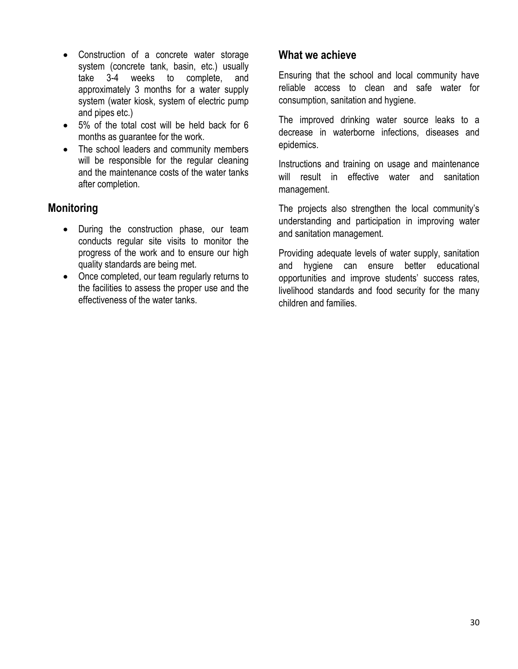- Construction of a concrete water storage system (concrete tank, basin, etc.) usually take 3-4 weeks to complete, and approximately 3 months for a water supply system (water kiosk, system of electric pump and pipes etc.)
- 5% of the total cost will be held back for 6 months as guarantee for the work.
- The school leaders and community members will be responsible for the regular cleaning and the maintenance costs of the water tanks after completion.

## **Monitoring**

- During the construction phase, our team conducts regular site visits to monitor the progress of the work and to ensure our high quality standards are being met.
- Once completed, our team regularly returns to the facilities to assess the proper use and the effectiveness of the water tanks.

### **What we achieve**

Ensuring that the school and local community have reliable access to clean and safe water for consumption, sanitation and hygiene.

The improved drinking water source leaks to a decrease in waterborne infections, diseases and epidemics.

Instructions and training on usage and maintenance will result in effective water and sanitation management.

The projects also strengthen the local community's understanding and participation in improving water and sanitation management.

Providing adequate levels of water supply, sanitation and hygiene can ensure better educational opportunities and improve students' success rates, livelihood standards and food security for the many children and families.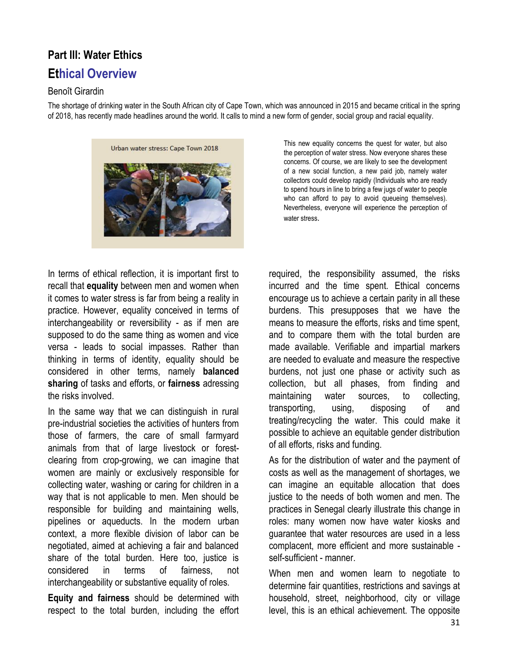# **Part III: Water Ethics Ethical Overview**

#### Benoît Girardin

The shortage of drinking water in the South African city of Cape Town, which was announced in 2015 and became critical in the spring of 2018, has recently made headlines around the world. It calls to mind a new form of gender, social group and racial equality.



This new equality concerns the quest for water, but also the perception of water stress. Now everyone shares these concerns. Of course, we are likely to see the development of a new social function, a new paid job, namely water collectors could develop rapidly (Individuals who are ready to spend hours in line to bring a few jugs of water to people who can afford to pay to avoid queueing themselves). Nevertheless, everyone will experience the perception of water stress.

In terms of ethical reflection, it is important first to recall that **equality** between men and women when it comes to water stress is far from being a reality in practice. However, equality conceived in terms of interchangeability or reversibility - as if men are supposed to do the same thing as women and vice versa - leads to social impasses. Rather than thinking in terms of identity, equality should be considered in other terms, namely **balanced sharing** of tasks and efforts, or **fairness** adressing the risks involved.

In the same way that we can distinguish in rural pre-industrial societies the activities of hunters from those of farmers, the care of small farmyard animals from that of large livestock or forestclearing from crop-growing, we can imagine that women are mainly or exclusively responsible for collecting water, washing or caring for children in a way that is not applicable to men. Men should be responsible for building and maintaining wells, pipelines or aqueducts. In the modern urban context, a more flexible division of labor can be negotiated, aimed at achieving a fair and balanced share of the total burden. Here too, justice is considered in terms of fairness, not interchangeability or substantive equality of roles.

**Equity and fairness** should be determined with respect to the total burden, including the effort required, the responsibility assumed, the risks incurred and the time spent. Ethical concerns encourage us to achieve a certain parity in all these burdens. This presupposes that we have the means to measure the efforts, risks and time spent, and to compare them with the total burden are made available. Verifiable and impartial markers are needed to evaluate and measure the respective burdens, not just one phase or activity such as collection, but all phases, from finding and maintaining water sources, to collecting, transporting, using, disposing of and treating/recycling the water. This could make it possible to achieve an equitable gender distribution of all efforts, risks and funding.

As for the distribution of water and the payment of costs as well as the management of shortages, we can imagine an equitable allocation that does justice to the needs of both women and men. The practices in Senegal clearly illustrate this change in roles: many women now have water kiosks and guarantee that water resources are used in a less complacent, more efficient and more sustainable self-sufficient - manner.

When men and women learn to negotiate to determine fair quantities, restrictions and savings at household, street, neighborhood, city or village level, this is an ethical achievement. The opposite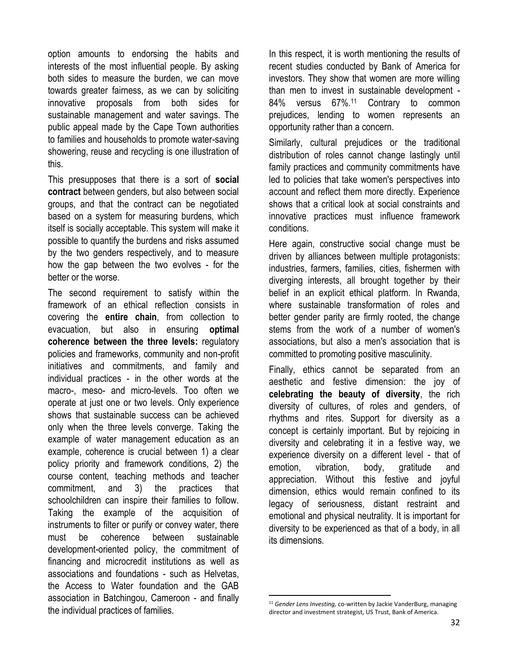option amounts to endorsing the habits and interests of the most influential people. By asking both sides to measure the burden, we can move towards greater fairness, as we can by soliciting innovative proposals from both sides for sustainable management and water savings. The public appeal made by the Cape Town authorities to families and households to promote water-saving showering, reuse and recycling is one illustration of this.

This presupposes that there is a sort of **social contract** between genders, but also between social groups, and that the contract can be negotiated based on a system for measuring burdens, which itself is socially acceptable. This system will make it possible to quantify the burdens and risks assumed by the two genders respectively, and to measure how the gap between the two evolves - for the better or the worse.

The second requirement to satisfy within the framework of an ethical reflection consists in covering the **entire chain**, from collection to evacuation, but also in ensuring **optimal coherence between the three levels:** regulatory policies and frameworks, community and non-profit initiatives and commitments, and family and individual practices - in the other words at the macro-, meso- and micro-levels. Too often we operate at just one or two levels. Only experience shows that sustainable success can be achieved only when the three levels converge. Taking the example of water management education as an example, coherence is crucial between 1) a clear policy priority and framework conditions, 2) the course content, teaching methods and teacher commitment, and 3) the practices that schoolchildren can inspire their families to follow. Taking the example of the acquisition of instruments to filter or purify or convey water, there must be coherence between sustainable development-oriented policy, the commitment of financing and microcredit institutions as well as associations and foundations - such as Helvetas, the Access to Water foundation and the GAB association in Batchingou, Cameroon - and finally the individual practices of families.

In this respect, it is worth mentioning the results of recent studies conducted by Bank of America for investors. They show that women are more willing than men to invest in sustainable development - 84% versus 67%.<sup>11</sup> Contrary to common prejudices, lending to women represents an opportunity rather than a concern.

Similarly, cultural prejudices or the traditional distribution of roles cannot change lastingly until family practices and community commitments have led to policies that take women's perspectives into account and reflect them more directly. Experience shows that a critical look at social constraints and innovative practices must influence framework conditions.

Here again, constructive social change must be driven by alliances between multiple protagonists: industries, farmers, families, cities, fishermen with diverging interests, all brought together by their belief in an explicit ethical platform. In Rwanda, where sustainable transformation of roles and better gender parity are firmly rooted, the change stems from the work of a number of women's associations, but also a men's association that is committed to promoting positive masculinity.

Finally, ethics cannot be separated from an aesthetic and festive dimension: the joy of **celebrating the beauty of diversity**, the rich diversity of cultures, of roles and genders, of rhythms and rites. Support for diversity as a concept is certainly important. But by rejoicing in diversity and celebrating it in a festive way, we experience diversity on a different level - that of emotion, vibration, body, gratitude and appreciation. Without this festive and joyful dimension, ethics would remain confined to its legacy of seriousness, distant restraint and emotional and physical neutrality. It is important for diversity to be experienced as that of a body, in all its dimensions.

l

<sup>11</sup> *Gender Lens Investing,* co-written by Jackie VanderBurg, managing director and investment strategist, US Trust, Bank of America.